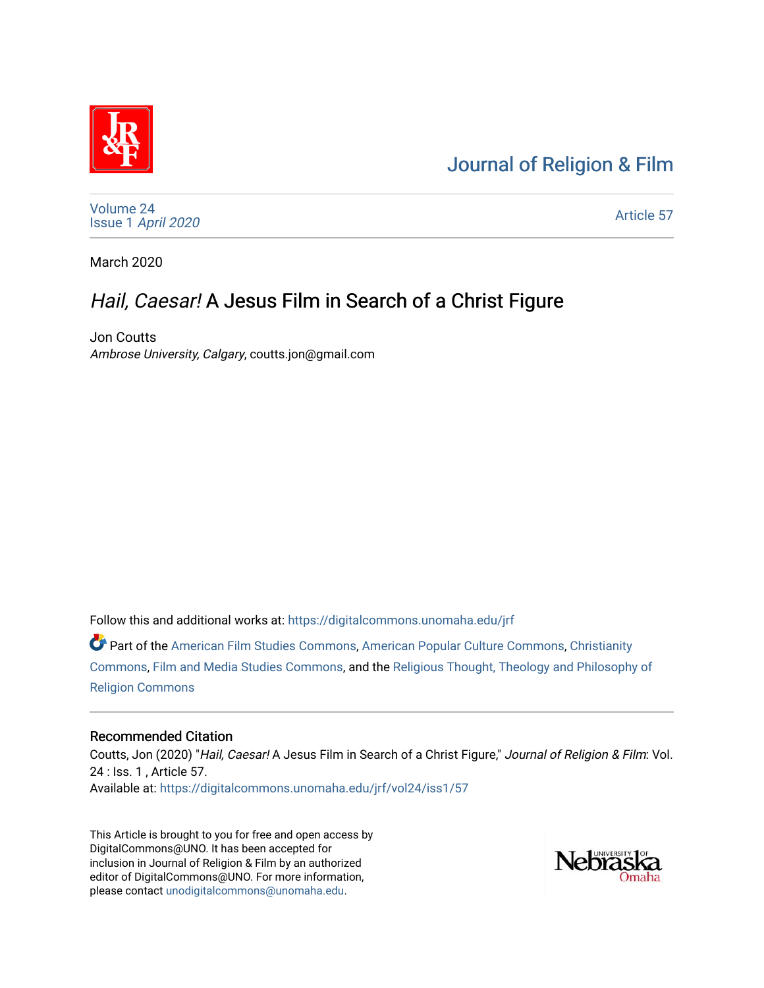# [Journal of Religion & Film](https://digitalcommons.unomaha.edu/jrf)



[Volume 24](https://digitalcommons.unomaha.edu/jrf/vol24) Issue 1 [April 2020](https://digitalcommons.unomaha.edu/jrf/vol24/iss1) 

[Article 57](https://digitalcommons.unomaha.edu/jrf/vol24/iss1/57) 

March 2020

## Hail, Caesar! A Jesus Film in Search of a Christ Figure

Jon Coutts Ambrose University, Calgary, coutts.jon@gmail.com

Follow this and additional works at: [https://digitalcommons.unomaha.edu/jrf](https://digitalcommons.unomaha.edu/jrf?utm_source=digitalcommons.unomaha.edu%2Fjrf%2Fvol24%2Fiss1%2F57&utm_medium=PDF&utm_campaign=PDFCoverPages)

Part of the [American Film Studies Commons,](http://network.bepress.com/hgg/discipline/440?utm_source=digitalcommons.unomaha.edu%2Fjrf%2Fvol24%2Fiss1%2F57&utm_medium=PDF&utm_campaign=PDFCoverPages) [American Popular Culture Commons](http://network.bepress.com/hgg/discipline/443?utm_source=digitalcommons.unomaha.edu%2Fjrf%2Fvol24%2Fiss1%2F57&utm_medium=PDF&utm_campaign=PDFCoverPages), [Christianity](http://network.bepress.com/hgg/discipline/1181?utm_source=digitalcommons.unomaha.edu%2Fjrf%2Fvol24%2Fiss1%2F57&utm_medium=PDF&utm_campaign=PDFCoverPages)  [Commons](http://network.bepress.com/hgg/discipline/1181?utm_source=digitalcommons.unomaha.edu%2Fjrf%2Fvol24%2Fiss1%2F57&utm_medium=PDF&utm_campaign=PDFCoverPages), [Film and Media Studies Commons](http://network.bepress.com/hgg/discipline/563?utm_source=digitalcommons.unomaha.edu%2Fjrf%2Fvol24%2Fiss1%2F57&utm_medium=PDF&utm_campaign=PDFCoverPages), and the [Religious Thought, Theology and Philosophy of](http://network.bepress.com/hgg/discipline/544?utm_source=digitalcommons.unomaha.edu%2Fjrf%2Fvol24%2Fiss1%2F57&utm_medium=PDF&utm_campaign=PDFCoverPages)  [Religion Commons](http://network.bepress.com/hgg/discipline/544?utm_source=digitalcommons.unomaha.edu%2Fjrf%2Fvol24%2Fiss1%2F57&utm_medium=PDF&utm_campaign=PDFCoverPages)

#### Recommended Citation

Coutts, Jon (2020) "Hail, Caesar! A Jesus Film in Search of a Christ Figure," Journal of Religion & Film: Vol. 24 : Iss. 1 , Article 57. Available at: [https://digitalcommons.unomaha.edu/jrf/vol24/iss1/57](https://digitalcommons.unomaha.edu/jrf/vol24/iss1/57?utm_source=digitalcommons.unomaha.edu%2Fjrf%2Fvol24%2Fiss1%2F57&utm_medium=PDF&utm_campaign=PDFCoverPages) 

This Article is brought to you for free and open access by DigitalCommons@UNO. It has been accepted for inclusion in Journal of Religion & Film by an authorized editor of DigitalCommons@UNO. For more information, please contact [unodigitalcommons@unomaha.edu.](mailto:unodigitalcommons@unomaha.edu)

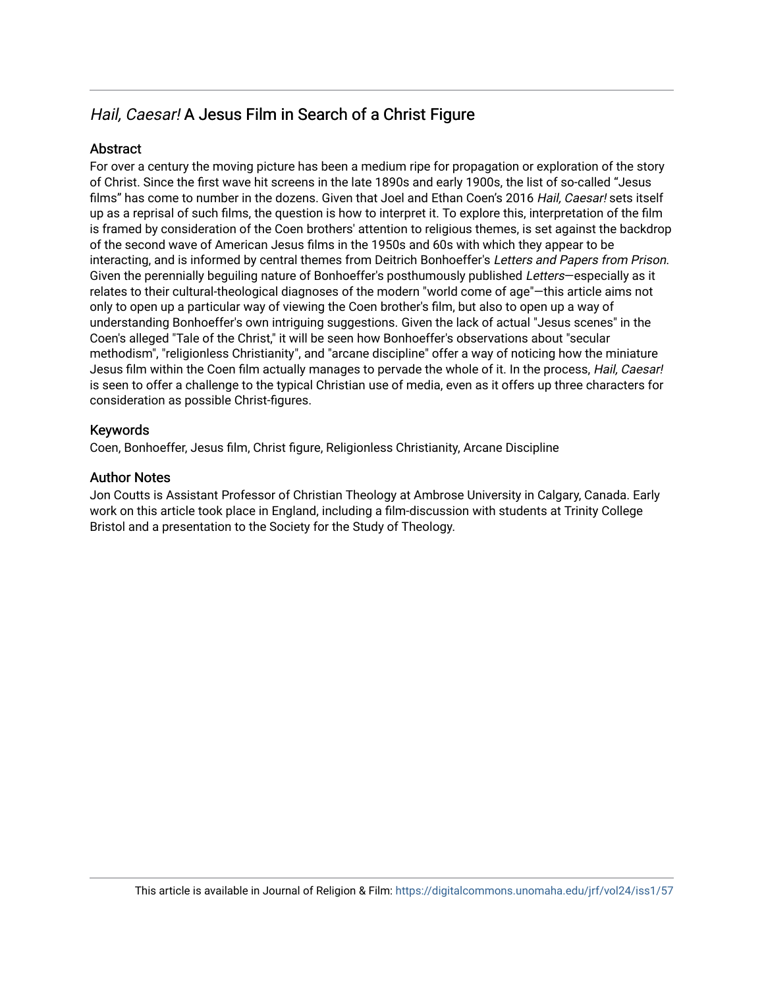## Hail, Caesar! A Jesus Film in Search of a Christ Figure

## Abstract

For over a century the moving picture has been a medium ripe for propagation or exploration of the story of Christ. Since the first wave hit screens in the late 1890s and early 1900s, the list of so-called "Jesus films" has come to number in the dozens. Given that Joel and Ethan Coen's 2016 Hail, Caesar! sets itself up as a reprisal of such films, the question is how to interpret it. To explore this, interpretation of the film is framed by consideration of the Coen brothers' attention to religious themes, is set against the backdrop of the second wave of American Jesus films in the 1950s and 60s with which they appear to be interacting, and is informed by central themes from Deitrich Bonhoeffer's Letters and Papers from Prison. Given the perennially beguiling nature of Bonhoeffer's posthumously published Letters—especially as it relates to their cultural-theological diagnoses of the modern "world come of age"—this article aims not only to open up a particular way of viewing the Coen brother's film, but also to open up a way of understanding Bonhoeffer's own intriguing suggestions. Given the lack of actual "Jesus scenes" in the Coen's alleged "Tale of the Christ," it will be seen how Bonhoeffer's observations about "secular methodism", "religionless Christianity", and "arcane discipline" offer a way of noticing how the miniature Jesus film within the Coen film actually manages to pervade the whole of it. In the process, Hail, Caesar! is seen to offer a challenge to the typical Christian use of media, even as it offers up three characters for consideration as possible Christ-figures.

## Keywords

Coen, Bonhoeffer, Jesus film, Christ figure, Religionless Christianity, Arcane Discipline

## Author Notes

Jon Coutts is Assistant Professor of Christian Theology at Ambrose University in Calgary, Canada. Early work on this article took place in England, including a film-discussion with students at Trinity College Bristol and a presentation to the Society for the Study of Theology.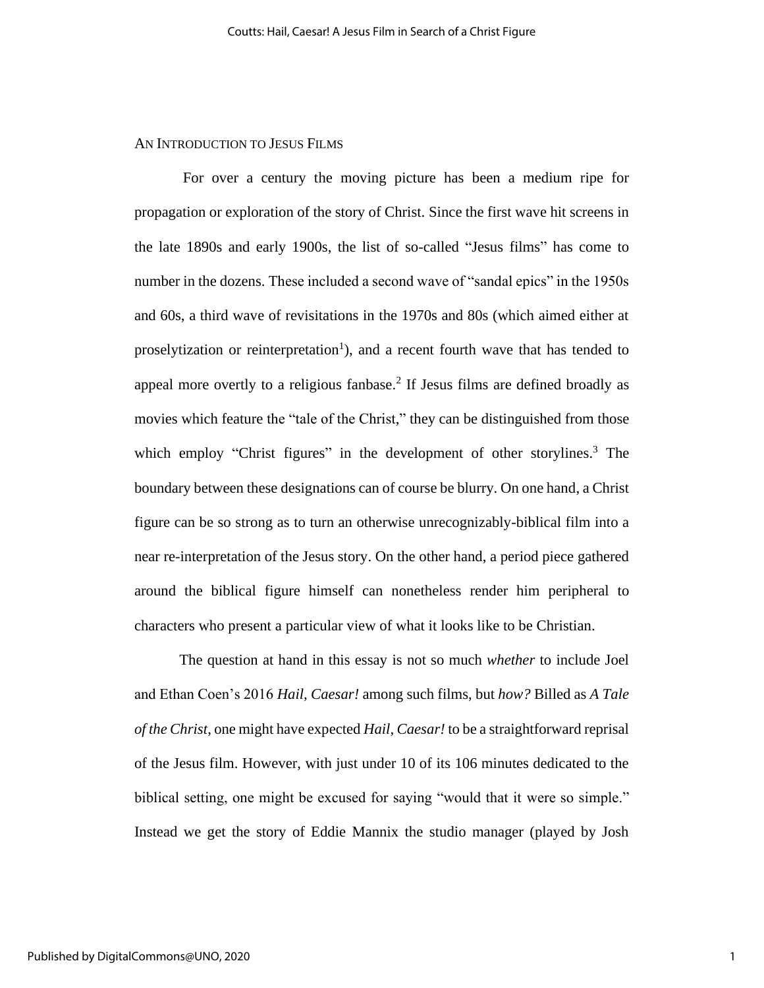#### AN INTRODUCTION TO JESUS FILMS

For over a century the moving picture has been a medium ripe for propagation or exploration of the story of Christ. Since the first wave hit screens in the late 1890s and early 1900s, the list of so-called "Jesus films" has come to number in the dozens. These included a second wave of "sandal epics" in the 1950s and 60s, a third wave of revisitations in the 1970s and 80s (which aimed either at proselytization or reinterpretation<sup>1</sup>), and a recent fourth wave that has tended to appeal more overtly to a religious fanbase.<sup>2</sup> If Jesus films are defined broadly as movies which feature the "tale of the Christ," they can be distinguished from those which employ "Christ figures" in the development of other storylines.<sup>3</sup> The boundary between these designations can of course be blurry. On one hand, a Christ figure can be so strong as to turn an otherwise unrecognizably-biblical film into a near re-interpretation of the Jesus story. On the other hand, a period piece gathered around the biblical figure himself can nonetheless render him peripheral to characters who present a particular view of what it looks like to be Christian.

The question at hand in this essay is not so much *whether* to include Joel and Ethan Coen's 2016 *Hail, Caesar!* among such films, but *how?* Billed as *A Tale of the Christ*, one might have expected *Hail, Caesar!* to be a straightforward reprisal of the Jesus film. However, with just under 10 of its 106 minutes dedicated to the biblical setting, one might be excused for saying "would that it were so simple." Instead we get the story of Eddie Mannix the studio manager (played by Josh

1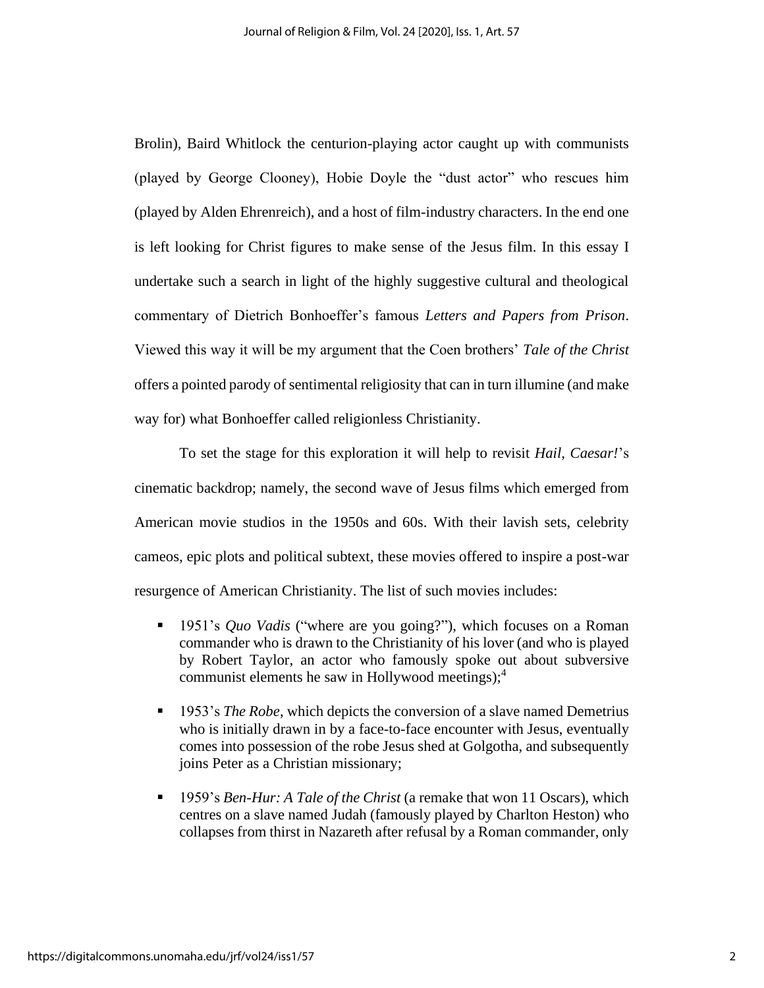Brolin), Baird Whitlock the centurion-playing actor caught up with communists (played by George Clooney), Hobie Doyle the "dust actor" who rescues him (played by Alden Ehrenreich), and a host of film-industry characters. In the end one is left looking for Christ figures to make sense of the Jesus film. In this essay I undertake such a search in light of the highly suggestive cultural and theological commentary of Dietrich Bonhoeffer's famous *Letters and Papers from Prison*. Viewed this way it will be my argument that the Coen brothers' *Tale of the Christ*  offers a pointed parody of sentimental religiosity that can in turn illumine (and make way for) what Bonhoeffer called religionless Christianity.

To set the stage for this exploration it will help to revisit *Hail, Caesar!*'s cinematic backdrop; namely, the second wave of Jesus films which emerged from American movie studios in the 1950s and 60s. With their lavish sets, celebrity cameos, epic plots and political subtext, these movies offered to inspire a post-war resurgence of American Christianity. The list of such movies includes:

- 1951's *Quo Vadis* ("where are you going?"), which focuses on a Roman commander who is drawn to the Christianity of his lover (and who is played by Robert Taylor, an actor who famously spoke out about subversive communist elements he saw in Hollywood meetings); 4
- **EXECUTE:** 1953's *The Robe*, which depicts the conversion of a slave named Demetrius who is initially drawn in by a face-to-face encounter with Jesus, eventually comes into possession of the robe Jesus shed at Golgotha, and subsequently joins Peter as a Christian missionary;
- 1959's *Ben-Hur: A Tale of the Christ* (a remake that won 11 Oscars), which centres on a slave named Judah (famously played by Charlton Heston) who collapses from thirst in Nazareth after refusal by a Roman commander, only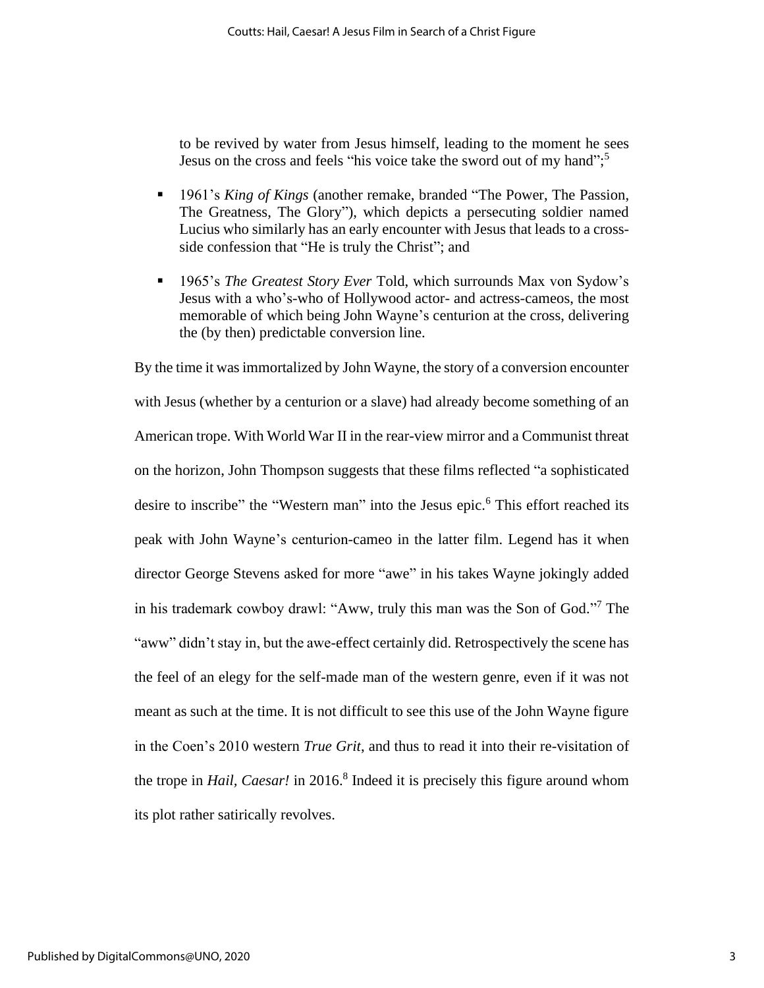to be revived by water from Jesus himself, leading to the moment he sees Jesus on the cross and feels "his voice take the sword out of my hand"; 5

- 1961's *King of Kings* (another remake, branded "The Power, The Passion, The Greatness, The Glory"), which depicts a persecuting soldier named Lucius who similarly has an early encounter with Jesus that leads to a crossside confession that "He is truly the Christ"; and
- 1965's *The Greatest Story Ever Told*, which surrounds Max von Sydow's Jesus with a who's-who of Hollywood actor- and actress-cameos, the most memorable of which being John Wayne's centurion at the cross, delivering the (by then) predictable conversion line.

By the time it was immortalized by John Wayne, the story of a conversion encounter with Jesus (whether by a centurion or a slave) had already become something of an American trope. With World War II in the rear-view mirror and a Communist threat on the horizon, John Thompson suggests that these films reflected "a sophisticated desire to inscribe" the "Western man" into the Jesus epic. <sup>6</sup> This effort reached its peak with John Wayne's centurion-cameo in the latter film. Legend has it when director George Stevens asked for more "awe" in his takes Wayne jokingly added in his trademark cowboy drawl: "Aww, truly this man was the Son of God." <sup>7</sup> The "aww" didn't stay in, but the awe-effect certainly did. Retrospectively the scene has the feel of an elegy for the self-made man of the western genre, even if it was not meant as such at the time. It is not difficult to see this use of the John Wayne figure in the Coen's 2010 western *True Grit*, and thus to read it into their re-visitation of the trope in *Hail, Caesar!* in 2016.<sup>8</sup> Indeed it is precisely this figure around whom its plot rather satirically revolves.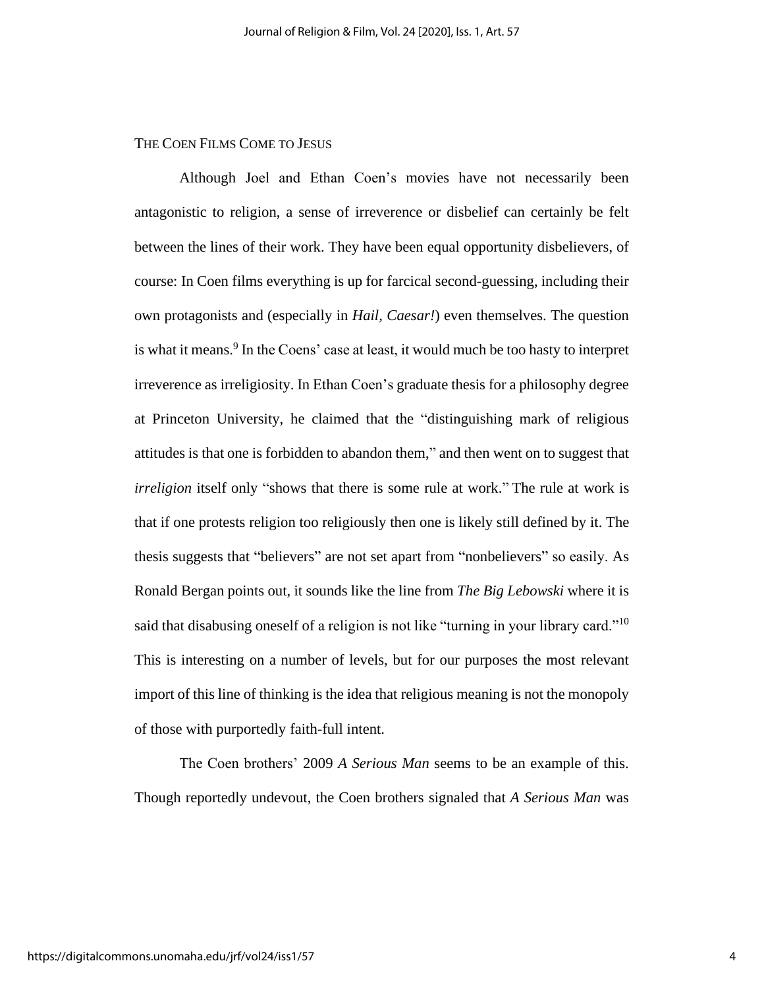## THE COEN FILMS COME TO JESUS

Although Joel and Ethan Coen's movies have not necessarily been antagonistic to religion, a sense of irreverence or disbelief can certainly be felt between the lines of their work. They have been equal opportunity disbelievers, of course: In Coen films everything is up for farcical second-guessing, including their own protagonists and (especially in *Hail, Caesar!*) even themselves. The question is what it means.<sup>9</sup> In the Coens' case at least, it would much be too hasty to interpret irreverence as irreligiosity. In Ethan Coen's graduate thesis for a philosophy degree at Princeton University, he claimed that the "distinguishing mark of religious attitudes is that one is forbidden to abandon them," and then went on to suggest that *irreligion* itself only "shows that there is some rule at work." The rule at work is that if one protests religion too religiously then one is likely still defined by it. The thesis suggests that "believers" are not set apart from "nonbelievers" so easily. As Ronald Bergan points out, it sounds like the line from *The Big Lebowski* where it is said that disabusing oneself of a religion is not like "turning in your library card."<sup>10</sup> This is interesting on a number of levels, but for our purposes the most relevant import of this line of thinking is the idea that religious meaning is not the monopoly of those with purportedly faith-full intent.

The Coen brothers' 2009 *A Serious Man* seems to be an example of this. Though reportedly undevout, the Coen brothers signaled that *A Serious Man* was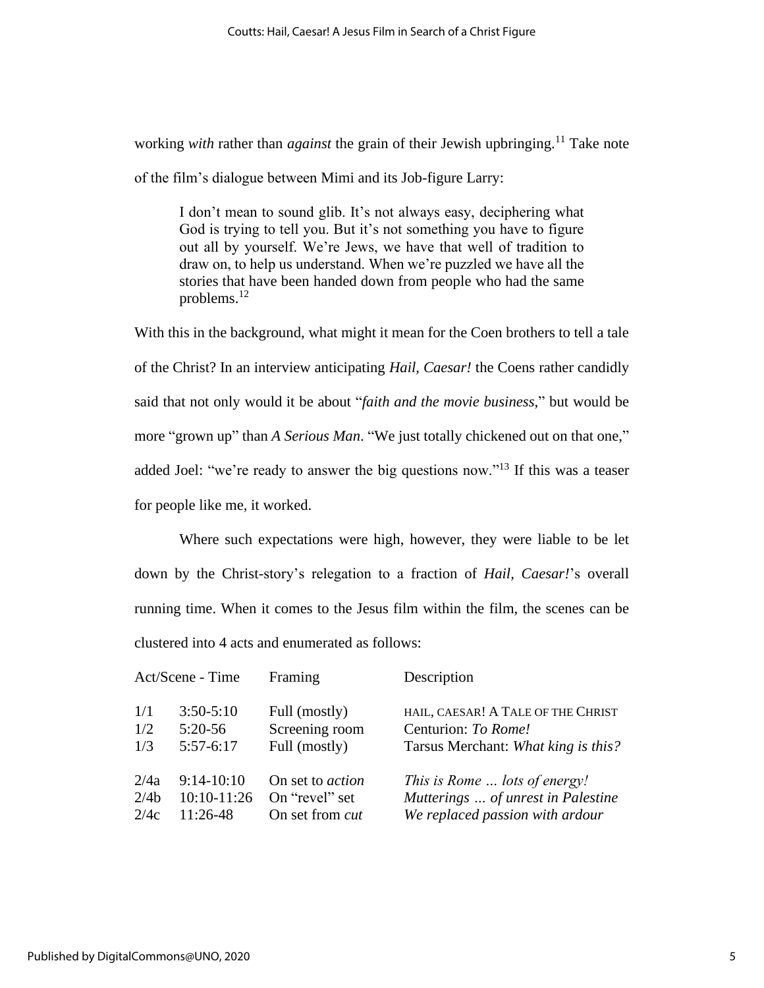working *with* rather than *against* the grain of their Jewish upbringing.<sup>11</sup> Take note of the film's dialogue between Mimi and its Job-figure Larry:

I don't mean to sound glib. It's not always easy, deciphering what God is trying to tell you. But it's not something you have to figure out all by yourself. We're Jews, we have that well of tradition to draw on, to help us understand. When we're puzzled we have all the stories that have been handed down from people who had the same problems.<sup>12</sup>

With this in the background, what might it mean for the Coen brothers to tell a tale of the Christ? In an interview anticipating *Hail, Caesar!* the Coens rather candidly said that not only would it be about "*faith and the movie business*," but would be more "grown up" than *A Serious Man*. "We just totally chickened out on that one," added Joel: "we're ready to answer the big questions now."<sup>13</sup> If this was a teaser for people like me, it worked.

Where such expectations were high, however, they were liable to be let down by the Christ-story's relegation to a fraction of *Hail, Caesar!*'s overall running time. When it comes to the Jesus film within the film, the scenes can be clustered into 4 acts and enumerated as follows:

| Act/Scene - Time |               | Framing                 | Description                         |
|------------------|---------------|-------------------------|-------------------------------------|
| 1/1              | $3:50 - 5:10$ | Full (mostly)           | HAIL, CAESAR! A TALE OF THE CHRIST  |
| 1/2              | $5:20-56$     | Screening room          | Centurion: To Rome!                 |
| 1/3              | $5:57-6:17$   | Full (mostly)           | Tarsus Merchant: What king is this? |
| 2/4a             | $9:14-10:10$  | On set to <i>action</i> | This is Rome  lots of energy!       |
| 2/4 <sub>b</sub> | 10:10-11:26   | On "revel" set          | Mutterings  of unrest in Palestine  |
| 2/4c             | $11:26-48$    | On set from <i>cut</i>  | We replaced passion with ardour     |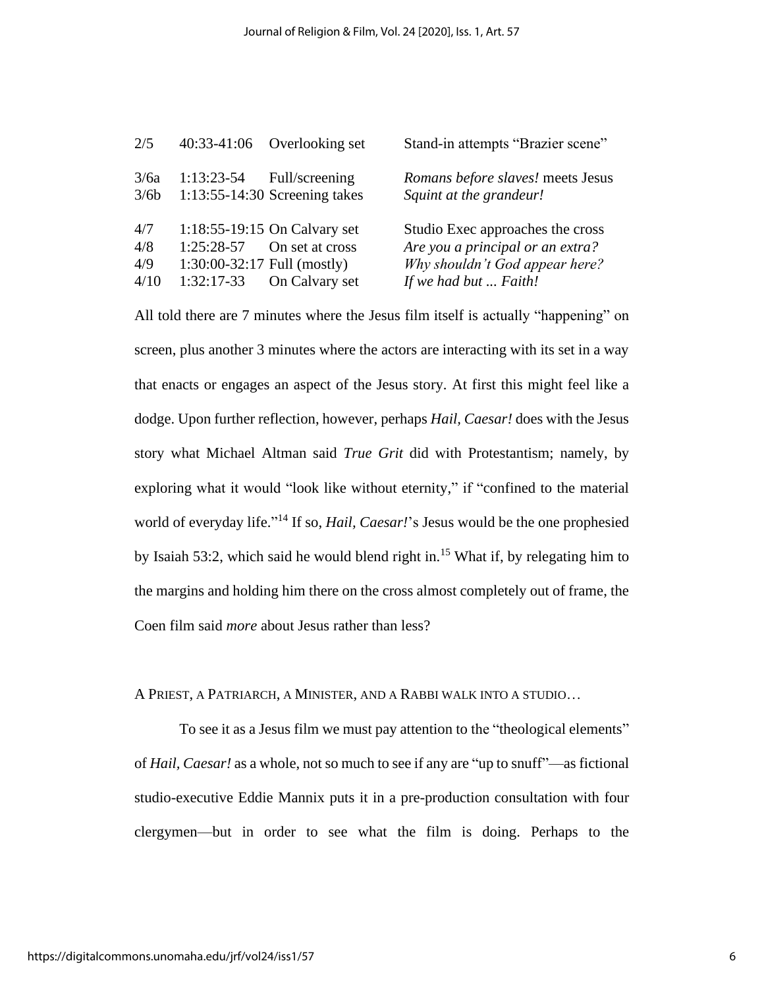| 2/5                       |                                               | $40:33-41:06$ Overlooking set                                                  | Stand-in attempts "Brazier scene"                                                                                               |
|---------------------------|-----------------------------------------------|--------------------------------------------------------------------------------|---------------------------------------------------------------------------------------------------------------------------------|
| 3/6a<br>3/6b              | $1:13:23-54$                                  | Full/screening<br>$1:13:55-14:30$ Screening takes                              | Romans before slaves! meets Jesus<br>Squint at the grandeur!                                                                    |
| 4/7<br>4/8<br>4/9<br>4/10 | $1:25:28-57$<br>$1:30:00-32:17$ Full (mostly) | 1:18:55-19:15 On Calvary set<br>On set at cross<br>$1:32:17-33$ On Calvary set | Studio Exec approaches the cross<br>Are you a principal or an extra?<br>Why shouldn't God appear here?<br>If we had but  Faith! |

All told there are 7 minutes where the Jesus film itself is actually "happening" on screen, plus another 3 minutes where the actors are interacting with its set in a way that enacts or engages an aspect of the Jesus story. At first this might feel like a dodge. Upon further reflection, however, perhaps *Hail, Caesar!* does with the Jesus story what Michael Altman said *True Grit* did with Protestantism; namely, by exploring what it would "look like without eternity," if "confined to the material world of everyday life." <sup>14</sup> If so, *Hail, Caesar!*'s Jesus would be the one prophesied by Isaiah 53:2, which said he would blend right in.<sup>15</sup> What if, by relegating him to the margins and holding him there on the cross almost completely out of frame, the Coen film said *more* about Jesus rather than less?

A PRIEST, A PATRIARCH, A MINISTER, AND A RABBI WALK INTO A STUDIO…

To see it as a Jesus film we must pay attention to the "theological elements" of *Hail, Caesar!* as a whole, not so much to see if any are "up to snuff"—as fictional studio-executive Eddie Mannix puts it in a pre-production consultation with four clergymen—but in order to see what the film is doing. Perhaps to the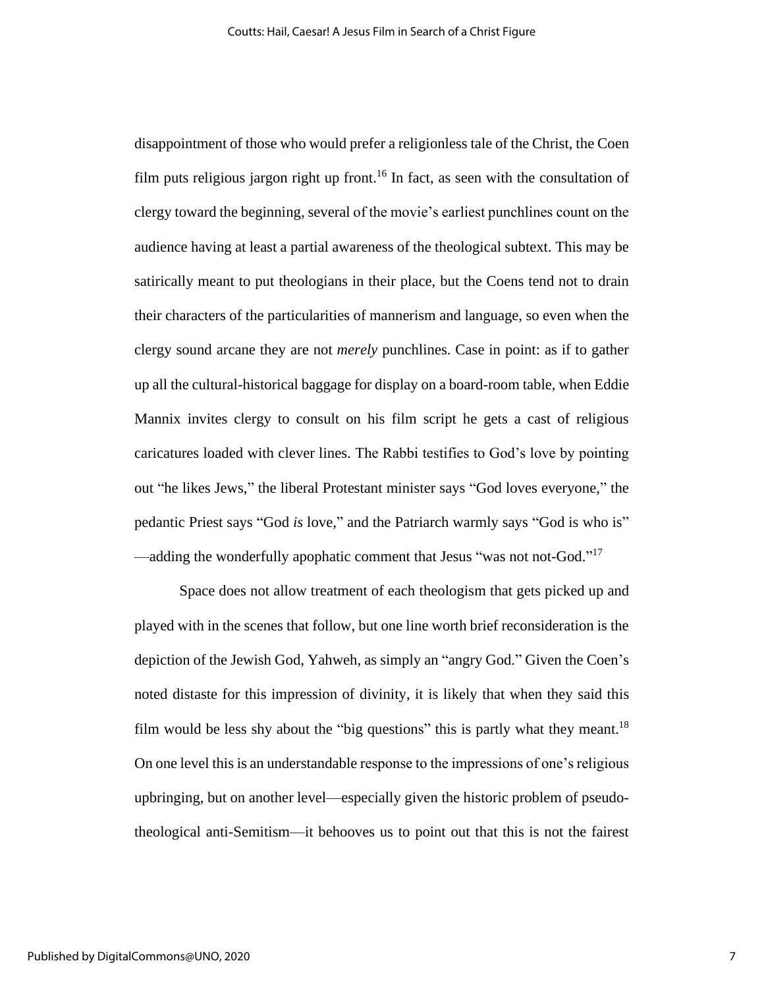disappointment of those who would prefer a religionless tale of the Christ, the Coen film puts religious jargon right up front.<sup>16</sup> In fact, as seen with the consultation of clergy toward the beginning, several of the movie's earliest punchlines count on the audience having at least a partial awareness of the theological subtext. This may be satirically meant to put theologians in their place, but the Coens tend not to drain their characters of the particularities of mannerism and language, so even when the clergy sound arcane they are not *merely* punchlines. Case in point: as if to gather up all the cultural-historical baggage for display on a board-room table, when Eddie Mannix invites clergy to consult on his film script he gets a cast of religious caricatures loaded with clever lines. The Rabbi testifies to God's love by pointing out "he likes Jews," the liberal Protestant minister says "God loves everyone," the pedantic Priest says "God *is* love," and the Patriarch warmly says "God is who is" —adding the wonderfully apophatic comment that Jesus "was not not-God."<sup>17</sup>

Space does not allow treatment of each theologism that gets picked up and played with in the scenes that follow, but one line worth brief reconsideration is the depiction of the Jewish God, Yahweh, as simply an "angry God." Given the Coen's noted distaste for this impression of divinity, it is likely that when they said this film would be less shy about the "big questions" this is partly what they meant.<sup>18</sup> On one level this is an understandable response to the impressions of one's religious upbringing, but on another level—especially given the historic problem of pseudotheological anti-Semitism—it behooves us to point out that this is not the fairest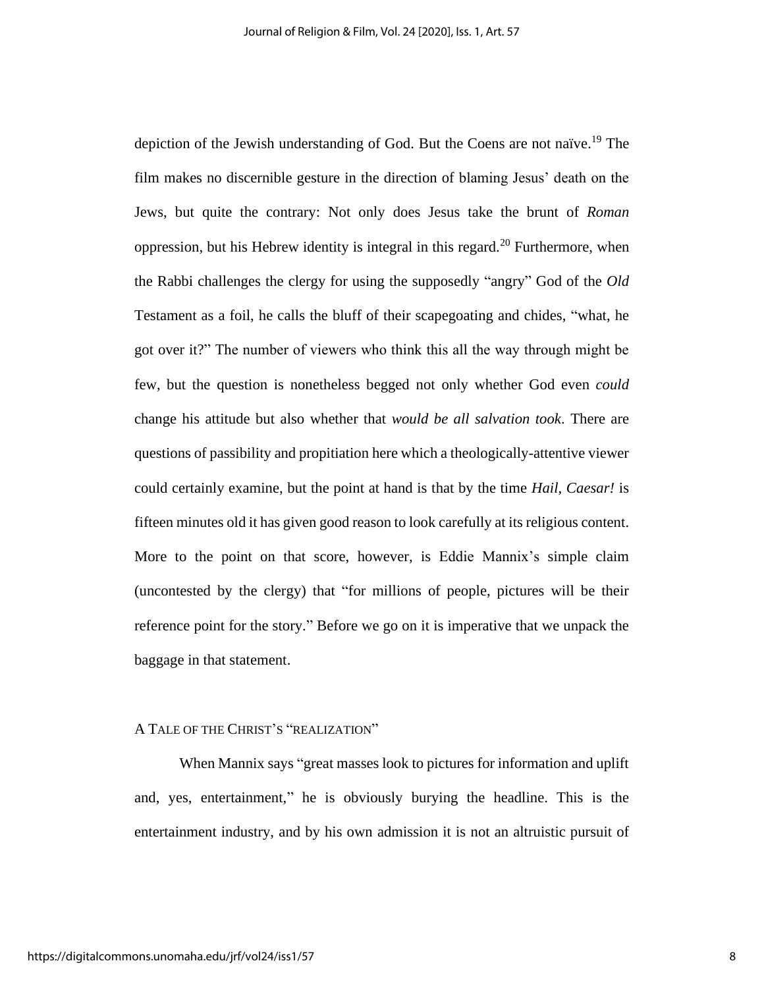depiction of the Jewish understanding of God. But the Coens are not naïve.<sup>19</sup> The film makes no discernible gesture in the direction of blaming Jesus' death on the Jews, but quite the contrary: Not only does Jesus take the brunt of *Roman* oppression, but his Hebrew identity is integral in this regard.<sup>20</sup> Furthermore, when the Rabbi challenges the clergy for using the supposedly "angry" God of the *Old*  Testament as a foil, he calls the bluff of their scapegoating and chides, "what, he got over it?" The number of viewers who think this all the way through might be few, but the question is nonetheless begged not only whether God even *could* change his attitude but also whether that *would be all salvation took*. There are questions of passibility and propitiation here which a theologically-attentive viewer could certainly examine, but the point at hand is that by the time *Hail, Caesar!* is fifteen minutes old it has given good reason to look carefully at its religious content. More to the point on that score, however, is Eddie Mannix's simple claim (uncontested by the clergy) that "for millions of people, pictures will be their reference point for the story." Before we go on it is imperative that we unpack the baggage in that statement.

#### A TALE OF THE CHRIST'S "REALIZATION"

When Mannix says "great masses look to pictures for information and uplift and, yes, entertainment," he is obviously burying the headline. This is the entertainment industry, and by his own admission it is not an altruistic pursuit of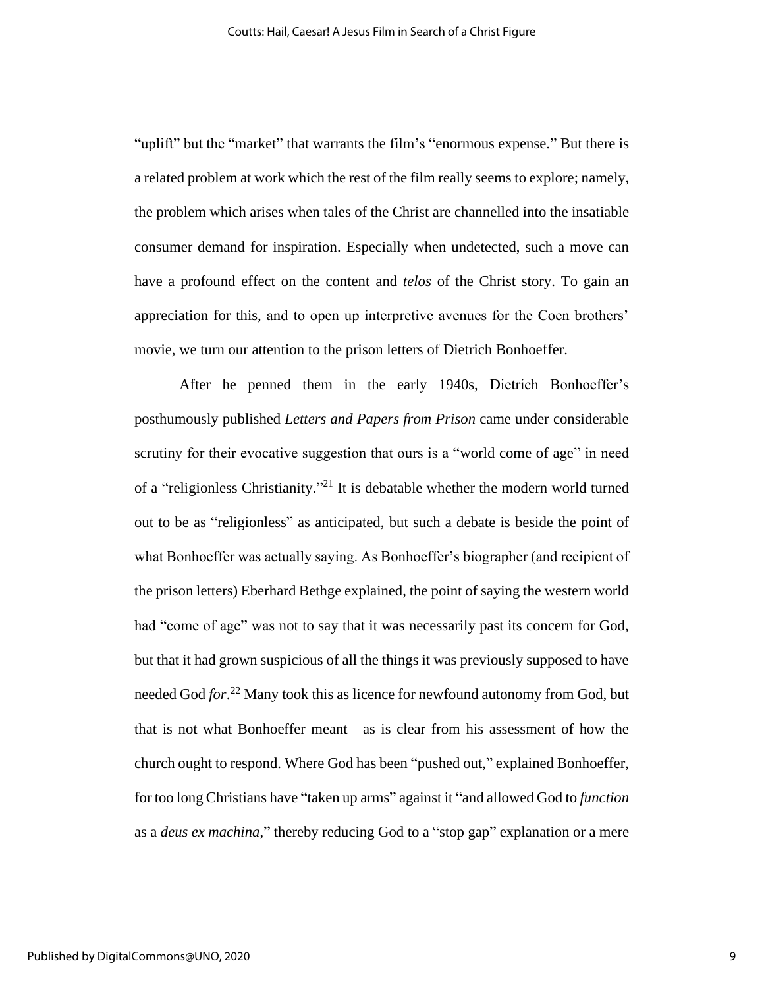"uplift" but the "market" that warrants the film's "enormous expense." But there is a related problem at work which the rest of the film really seems to explore; namely, the problem which arises when tales of the Christ are channelled into the insatiable consumer demand for inspiration. Especially when undetected, such a move can have a profound effect on the content and *telos* of the Christ story. To gain an appreciation for this, and to open up interpretive avenues for the Coen brothers' movie, we turn our attention to the prison letters of Dietrich Bonhoeffer.

After he penned them in the early 1940s, Dietrich Bonhoeffer's posthumously published *Letters and Papers from Prison* came under considerable scrutiny for their evocative suggestion that ours is a "world come of age" in need of a "religionless Christianity."<sup>21</sup> It is debatable whether the modern world turned out to be as "religionless" as anticipated, but such a debate is beside the point of what Bonhoeffer was actually saying. As Bonhoeffer's biographer (and recipient of the prison letters) Eberhard Bethge explained, the point of saying the western world had "come of age" was not to say that it was necessarily past its concern for God, but that it had grown suspicious of all the things it was previously supposed to have needed God *for*. <sup>22</sup> Many took this as licence for newfound autonomy from God, but that is not what Bonhoeffer meant—as is clear from his assessment of how the church ought to respond. Where God has been "pushed out," explained Bonhoeffer, for too long Christians have "taken up arms" against it "and allowed God to *function* as a *deus ex machina*," thereby reducing God to a "stop gap" explanation or a mere

9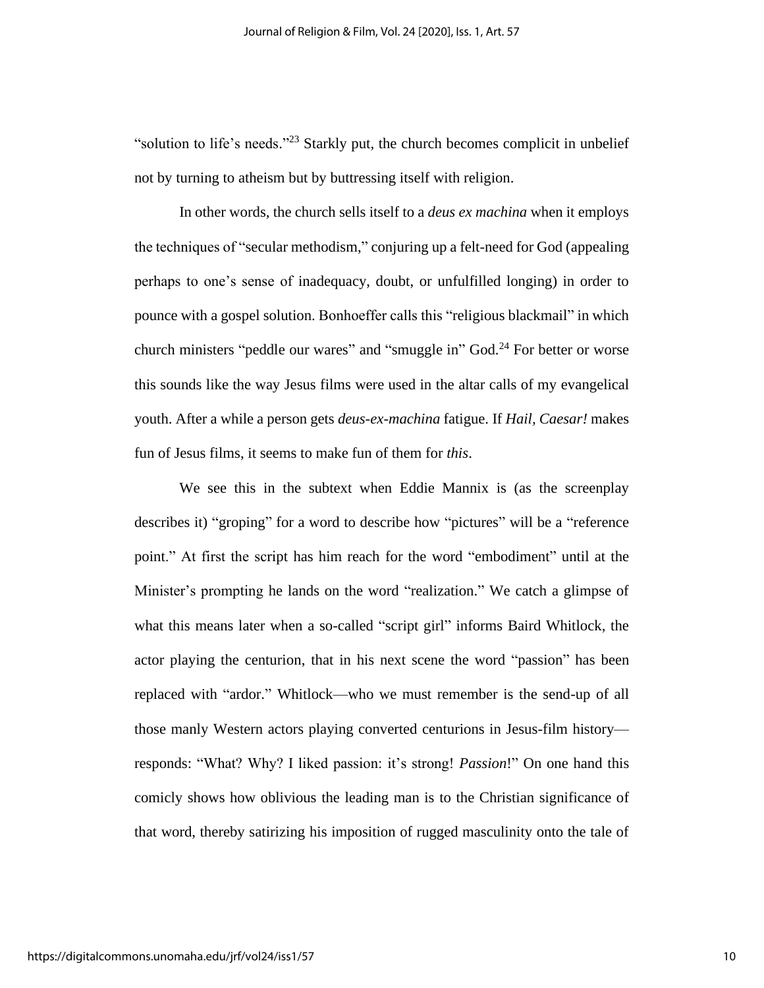"solution to life's needs."<sup>23</sup> Starkly put, the church becomes complicit in unbelief not by turning to atheism but by buttressing itself with religion.

In other words, the church sells itself to a *deus ex machina* when it employs the techniques of "secular methodism," conjuring up a felt-need for God (appealing perhaps to one's sense of inadequacy, doubt, or unfulfilled longing) in order to pounce with a gospel solution. Bonhoeffer calls this "religious blackmail" in which church ministers "peddle our wares" and "smuggle in" God.<sup>24</sup> For better or worse this sounds like the way Jesus films were used in the altar calls of my evangelical youth. After a while a person gets *deus-ex-machina* fatigue. If *Hail, Caesar!* makes fun of Jesus films, it seems to make fun of them for *this*.

We see this in the subtext when Eddie Mannix is (as the screenplay describes it) "groping" for a word to describe how "pictures" will be a "reference point." At first the script has him reach for the word "embodiment" until at the Minister's prompting he lands on the word "realization." We catch a glimpse of what this means later when a so-called "script girl" informs Baird Whitlock, the actor playing the centurion, that in his next scene the word "passion" has been replaced with "ardor." Whitlock—who we must remember is the send-up of all those manly Western actors playing converted centurions in Jesus-film history responds: "What? Why? I liked passion: it's strong! *Passion*!" On one hand this comicly shows how oblivious the leading man is to the Christian significance of that word, thereby satirizing his imposition of rugged masculinity onto the tale of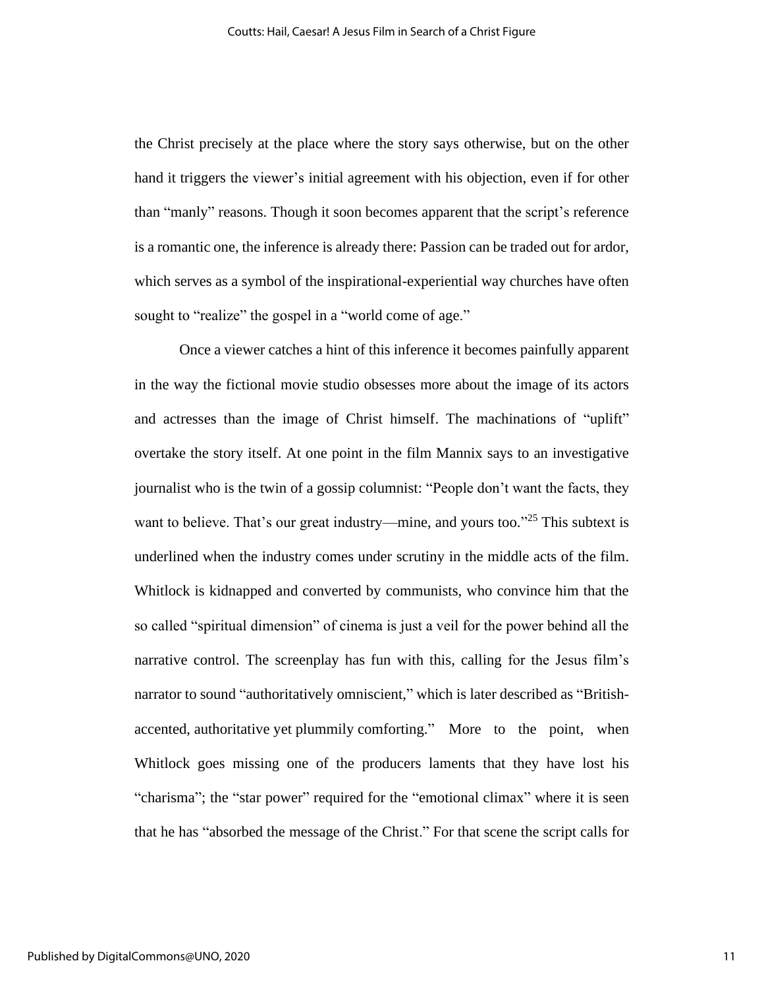the Christ precisely at the place where the story says otherwise, but on the other hand it triggers the viewer's initial agreement with his objection, even if for other than "manly" reasons. Though it soon becomes apparent that the script's reference is a romantic one, the inference is already there: Passion can be traded out for ardor, which serves as a symbol of the inspirational-experiential way churches have often sought to "realize" the gospel in a "world come of age."

Once a viewer catches a hint of this inference it becomes painfully apparent in the way the fictional movie studio obsesses more about the image of its actors and actresses than the image of Christ himself. The machinations of "uplift" overtake the story itself. At one point in the film Mannix says to an investigative journalist who is the twin of a gossip columnist: "People don't want the facts, they want to believe. That's our great industry—mine, and yours too."<sup>25</sup> This subtext is underlined when the industry comes under scrutiny in the middle acts of the film. Whitlock is kidnapped and converted by communists, who convince him that the so called "spiritual dimension" of cinema is just a veil for the power behind all the narrative control. The screenplay has fun with this, calling for the Jesus film's narrator to sound "authoritatively omniscient," which is later described as "Britishaccented, authoritative yet plummily comforting." More to the point, when Whitlock goes missing one of the producers laments that they have lost his "charisma"; the "star power" required for the "emotional climax" where it is seen that he has "absorbed the message of the Christ." For that scene the script calls for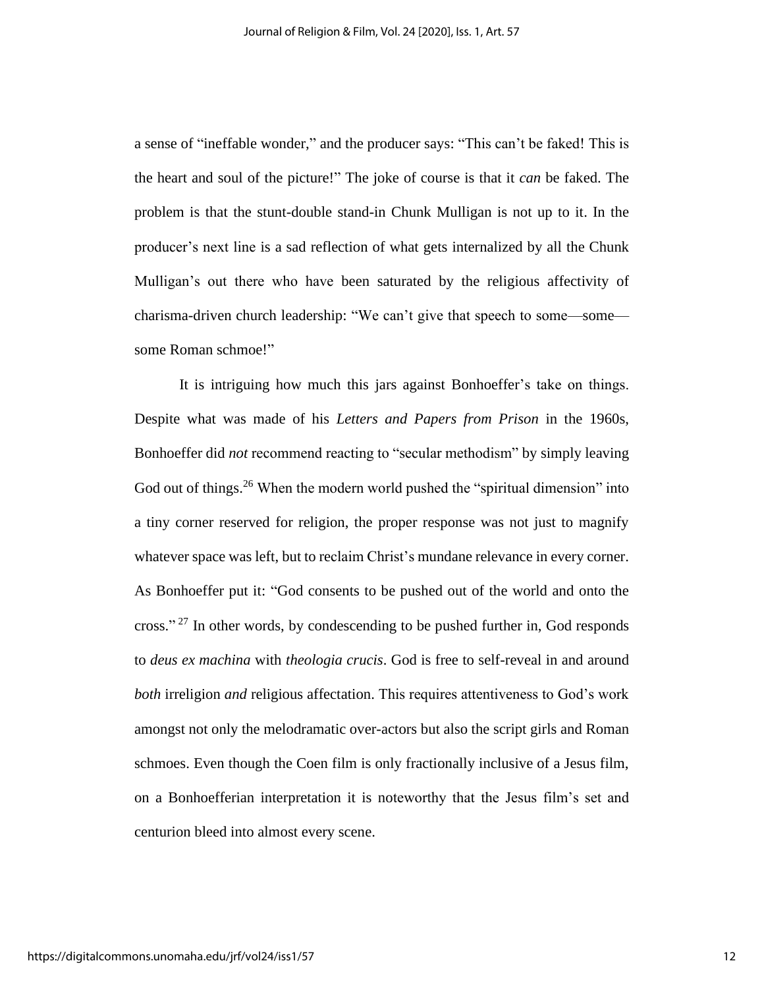a sense of "ineffable wonder," and the producer says: "This can't be faked! This is the heart and soul of the picture!" The joke of course is that it *can* be faked. The problem is that the stunt-double stand-in Chunk Mulligan is not up to it. In the producer's next line is a sad reflection of what gets internalized by all the Chunk Mulligan's out there who have been saturated by the religious affectivity of charisma-driven church leadership: "We can't give that speech to some—some some Roman schmoe!"

It is intriguing how much this jars against Bonhoeffer's take on things. Despite what was made of his *Letters and Papers from Prison* in the 1960s, Bonhoeffer did *not* recommend reacting to "secular methodism" by simply leaving God out of things.<sup>26</sup> When the modern world pushed the "spiritual dimension" into a tiny corner reserved for religion, the proper response was not just to magnify whatever space was left, but to reclaim Christ's mundane relevance in every corner. As Bonhoeffer put it: "God consents to be pushed out of the world and onto the cross."<sup>27</sup> In other words, by condescending to be pushed further in, God responds to *deus ex machina* with *theologia crucis*. God is free to self-reveal in and around *both* irreligion *and* religious affectation. This requires attentiveness to God's work amongst not only the melodramatic over-actors but also the script girls and Roman schmoes. Even though the Coen film is only fractionally inclusive of a Jesus film, on a Bonhoefferian interpretation it is noteworthy that the Jesus film's set and centurion bleed into almost every scene.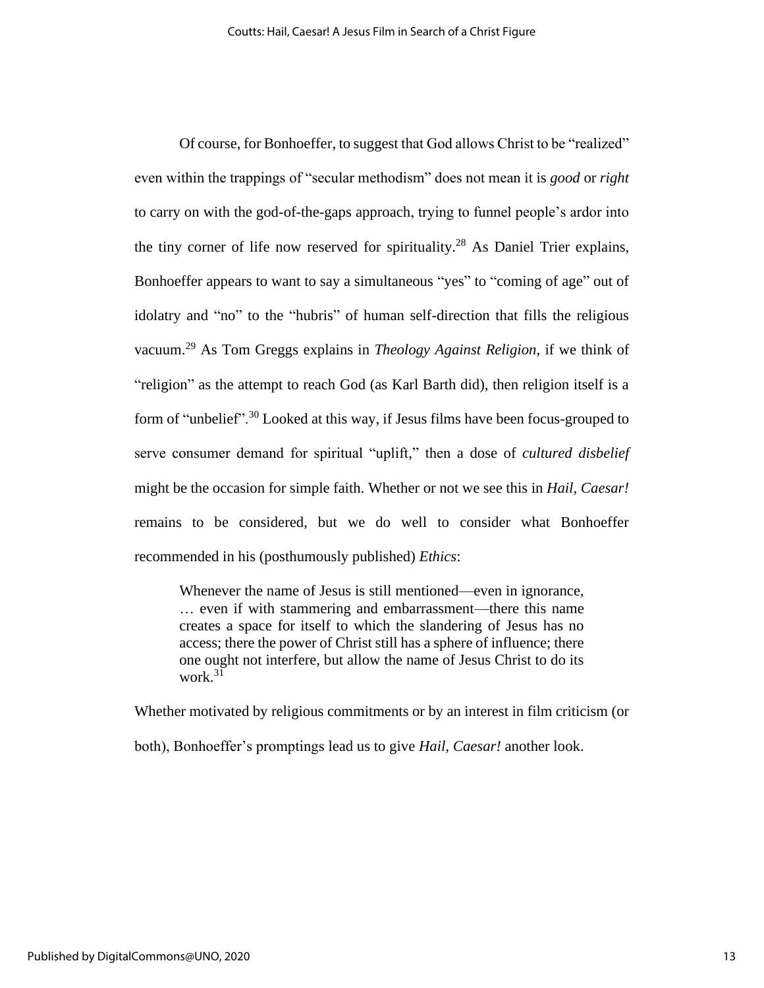Of course, for Bonhoeffer, to suggest that God allows Christ to be "realized" even within the trappings of "secular methodism" does not mean it is *good* or *right*  to carry on with the god-of-the-gaps approach, trying to funnel people's ardor into the tiny corner of life now reserved for spirituality.<sup>28</sup> As Daniel Trier explains, Bonhoeffer appears to want to say a simultaneous "yes" to "coming of age" out of idolatry and "no" to the "hubris" of human self-direction that fills the religious vacuum. <sup>29</sup> As Tom Greggs explains in *Theology Against Religion*, if we think of "religion" as the attempt to reach God (as Karl Barth did), then religion itself is a form of "unbelief".<sup>30</sup> Looked at this way, if Jesus films have been focus-grouped to serve consumer demand for spiritual "uplift," then a dose of *cultured disbelief* might be the occasion for simple faith. Whether or not we see this in *Hail, Caesar!* remains to be considered, but we do well to consider what Bonhoeffer recommended in his (posthumously published) *Ethics*:

Whenever the name of Jesus is still mentioned—even in ignorance, … even if with stammering and embarrassment—there this name creates a space for itself to which the slandering of Jesus has no access; there the power of Christ still has a sphere of influence; there one ought not interfere, but allow the name of Jesus Christ to do its work  $31$ 

Whether motivated by religious commitments or by an interest in film criticism (or both), Bonhoeffer's promptings lead us to give *Hail, Caesar!* another look.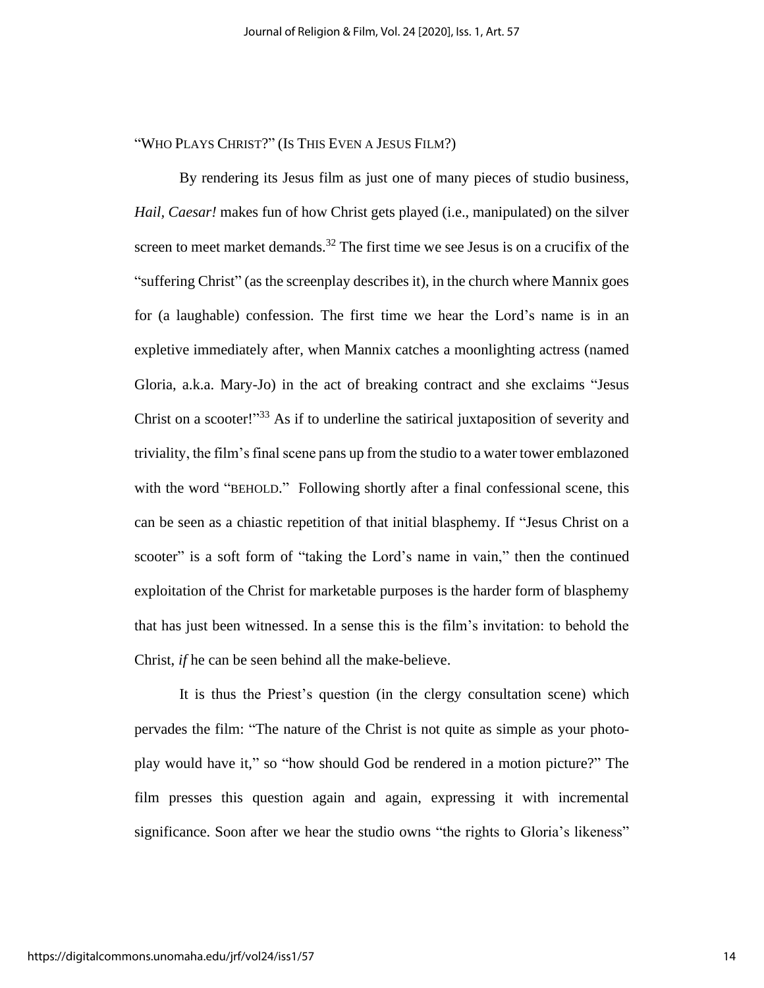"WHO PLAYS CHRIST?" (IS THIS EVEN A JESUS FILM?)

By rendering its Jesus film as just one of many pieces of studio business, *Hail, Caesar!* makes fun of how Christ gets played (i.e., manipulated) on the silver screen to meet market demands.<sup>32</sup> The first time we see Jesus is on a crucifix of the "suffering Christ" (as the screenplay describes it), in the church where Mannix goes for (a laughable) confession. The first time we hear the Lord's name is in an expletive immediately after, when Mannix catches a moonlighting actress (named Gloria, a.k.a. Mary-Jo) in the act of breaking contract and she exclaims "Jesus Christ on a scooter!"<sup>33</sup> As if to underline the satirical juxtaposition of severity and triviality, the film's final scene pans up from the studio to a water tower emblazoned with the word "BEHOLD." Following shortly after a final confessional scene, this can be seen as a chiastic repetition of that initial blasphemy. If "Jesus Christ on a scooter" is a soft form of "taking the Lord's name in vain," then the continued exploitation of the Christ for marketable purposes is the harder form of blasphemy that has just been witnessed. In a sense this is the film's invitation: to behold the Christ, *if* he can be seen behind all the make-believe.

It is thus the Priest's question (in the clergy consultation scene) which pervades the film: "The nature of the Christ is not quite as simple as your photoplay would have it," so "how should God be rendered in a motion picture?" The film presses this question again and again, expressing it with incremental significance. Soon after we hear the studio owns "the rights to Gloria's likeness"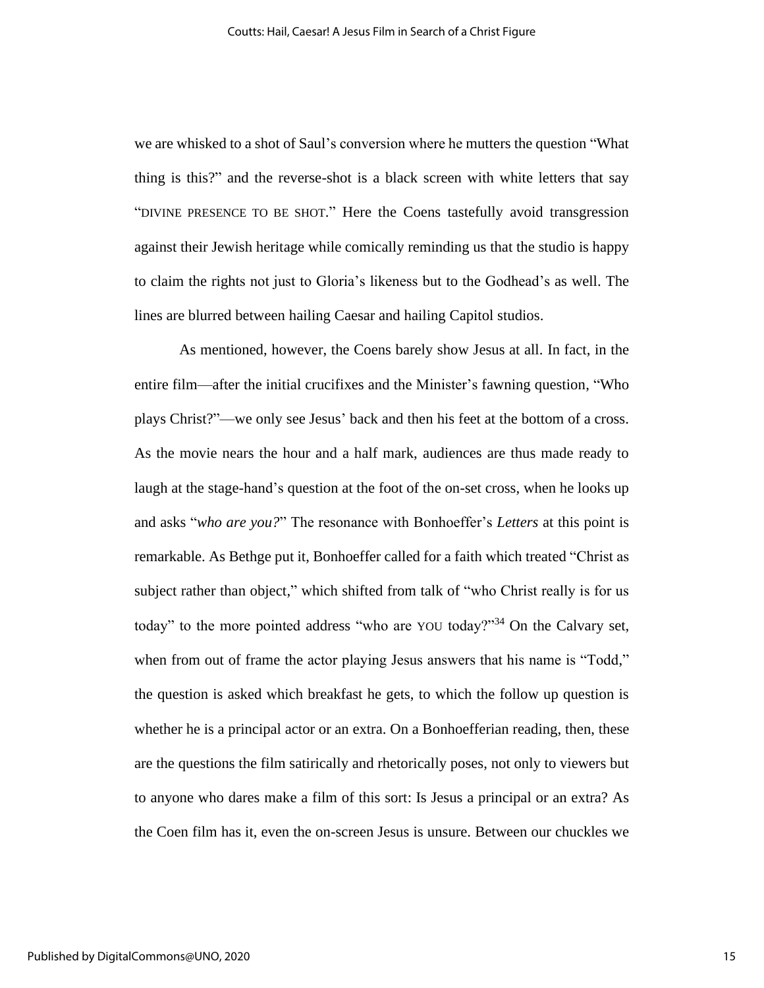we are whisked to a shot of Saul's conversion where he mutters the question "What thing is this?" and the reverse-shot is a black screen with white letters that say "DIVINE PRESENCE TO BE SHOT." Here the Coens tastefully avoid transgression against their Jewish heritage while comically reminding us that the studio is happy to claim the rights not just to Gloria's likeness but to the Godhead's as well. The lines are blurred between hailing Caesar and hailing Capitol studios.

As mentioned, however, the Coens barely show Jesus at all. In fact, in the entire film—after the initial crucifixes and the Minister's fawning question, "Who plays Christ?"—we only see Jesus' back and then his feet at the bottom of a cross. As the movie nears the hour and a half mark, audiences are thus made ready to laugh at the stage-hand's question at the foot of the on-set cross, when he looks up and asks "*who are you?*" The resonance with Bonhoeffer's *Letters* at this point is remarkable. As Bethge put it, Bonhoeffer called for a faith which treated "Christ as subject rather than object," which shifted from talk of "who Christ really is for us today" to the more pointed address "who are YOU today?"<sup>34</sup> On the Calvary set, when from out of frame the actor playing Jesus answers that his name is "Todd," the question is asked which breakfast he gets, to which the follow up question is whether he is a principal actor or an extra. On a Bonhoefferian reading, then, these are the questions the film satirically and rhetorically poses, not only to viewers but to anyone who dares make a film of this sort: Is Jesus a principal or an extra? As the Coen film has it, even the on-screen Jesus is unsure. Between our chuckles we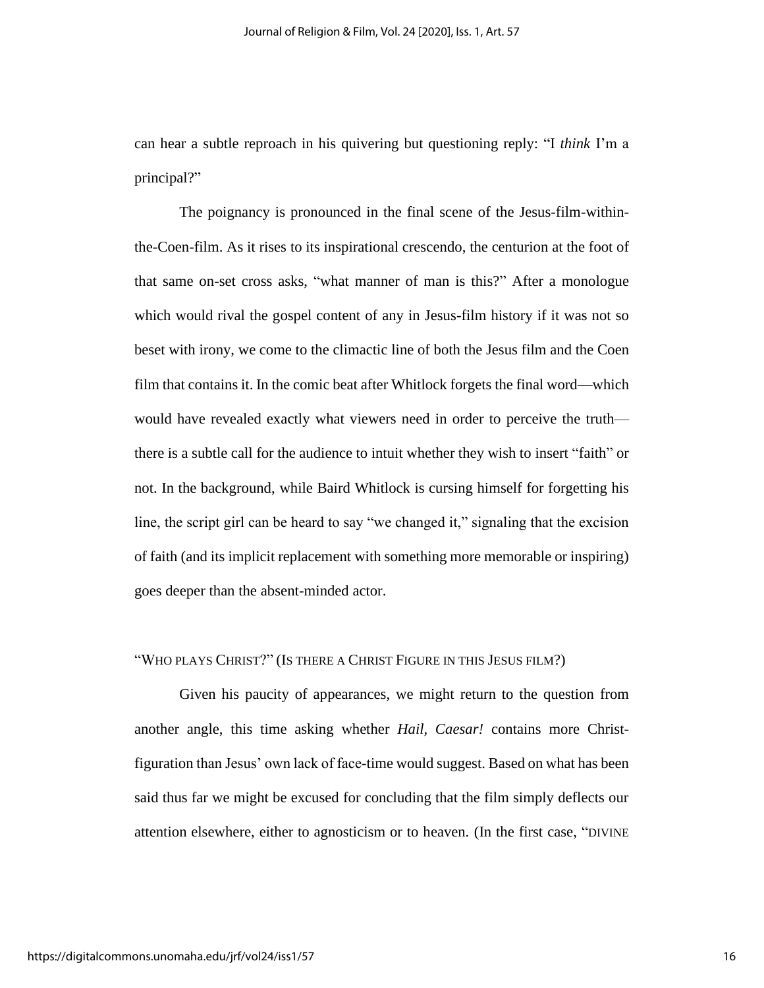can hear a subtle reproach in his quivering but questioning reply: "I *think* I'm a principal?"

The poignancy is pronounced in the final scene of the Jesus-film-withinthe-Coen-film. As it rises to its inspirational crescendo, the centurion at the foot of that same on-set cross asks, "what manner of man is this?" After a monologue which would rival the gospel content of any in Jesus-film history if it was not so beset with irony, we come to the climactic line of both the Jesus film and the Coen film that contains it. In the comic beat after Whitlock forgets the final word—which would have revealed exactly what viewers need in order to perceive the truth there is a subtle call for the audience to intuit whether they wish to insert "faith" or not. In the background, while Baird Whitlock is cursing himself for forgetting his line, the script girl can be heard to say "we changed it," signaling that the excision of faith (and its implicit replacement with something more memorable or inspiring) goes deeper than the absent-minded actor.

## "WHO PLAYS CHRIST?" (IS THERE A CHRIST FIGURE IN THIS JESUS FILM?)

Given his paucity of appearances, we might return to the question from another angle, this time asking whether *Hail, Caesar!* contains more Christfiguration than Jesus' own lack of face-time would suggest. Based on what has been said thus far we might be excused for concluding that the film simply deflects our attention elsewhere, either to agnosticism or to heaven. (In the first case, "DIVINE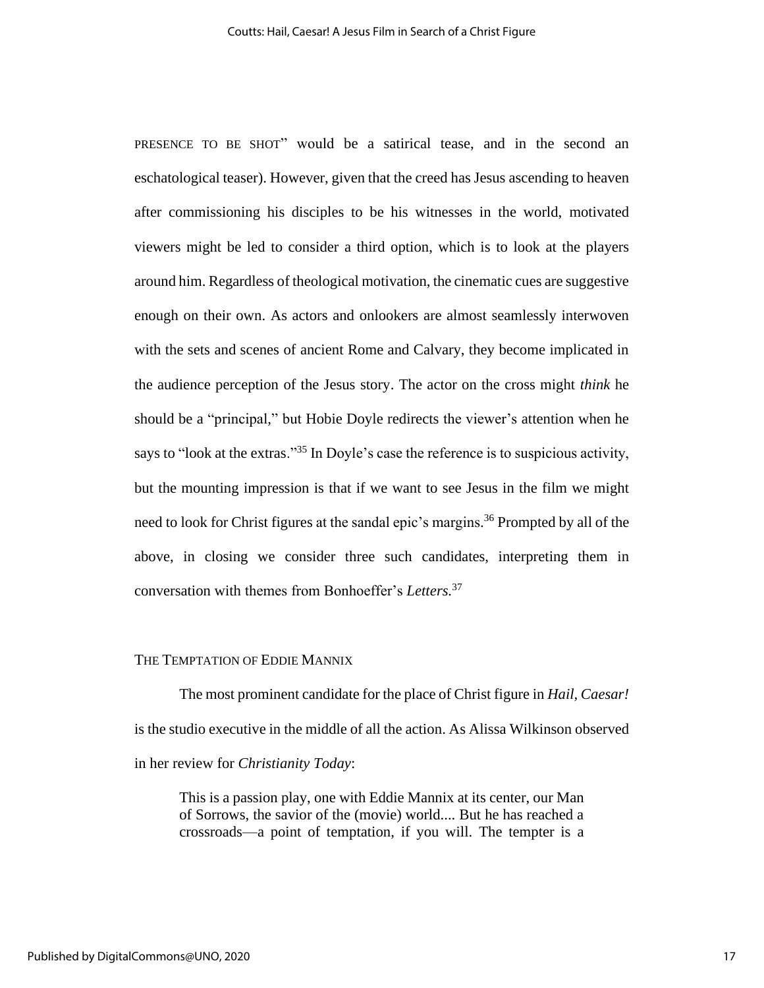PRESENCE TO BE SHOT" would be a satirical tease, and in the second an eschatological teaser). However, given that the creed has Jesus ascending to heaven after commissioning his disciples to be his witnesses in the world, motivated viewers might be led to consider a third option, which is to look at the players around him. Regardless of theological motivation, the cinematic cues are suggestive enough on their own. As actors and onlookers are almost seamlessly interwoven with the sets and scenes of ancient Rome and Calvary, they become implicated in the audience perception of the Jesus story. The actor on the cross might *think* he should be a "principal," but Hobie Doyle redirects the viewer's attention when he says to "look at the extras."<sup>35</sup> In Doyle's case the reference is to suspicious activity, but the mounting impression is that if we want to see Jesus in the film we might need to look for Christ figures at the sandal epic's margins. <sup>36</sup> Prompted by all of the above, in closing we consider three such candidates, interpreting them in conversation with themes from Bonhoeffer's *Letters.* 37

#### THE TEMPTATION OF EDDIE MANNIX

The most prominent candidate for the place of Christ figure in *Hail, Caesar!*  is the studio executive in the middle of all the action. As Alissa Wilkinson observed in her review for *Christianity Today*:

This is a passion play, one with Eddie Mannix at its center, our Man of Sorrows, the savior of the (movie) world.... But he has reached a crossroads—a point of temptation, if you will. The tempter is a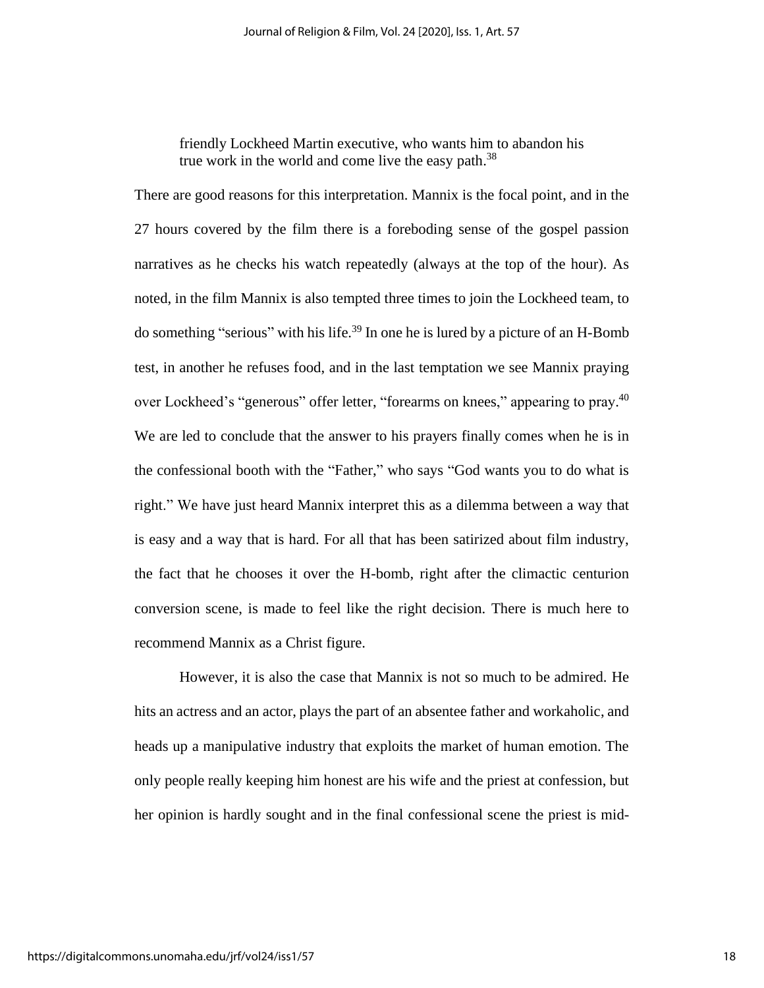friendly Lockheed Martin executive, who wants him to abandon his true work in the world and come live the easy path.<sup>38</sup>

There are good reasons for this interpretation. Mannix is the focal point, and in the 27 hours covered by the film there is a foreboding sense of the gospel passion narratives as he checks his watch repeatedly (always at the top of the hour). As noted, in the film Mannix is also tempted three times to join the Lockheed team, to do something "serious" with his life.<sup>39</sup> In one he is lured by a picture of an H-Bomb test, in another he refuses food, and in the last temptation we see Mannix praying over Lockheed's "generous" offer letter, "forearms on knees," appearing to pray.<sup>40</sup> We are led to conclude that the answer to his prayers finally comes when he is in the confessional booth with the "Father," who says "God wants you to do what is right." We have just heard Mannix interpret this as a dilemma between a way that is easy and a way that is hard. For all that has been satirized about film industry, the fact that he chooses it over the H-bomb, right after the climactic centurion conversion scene, is made to feel like the right decision. There is much here to recommend Mannix as a Christ figure.

However, it is also the case that Mannix is not so much to be admired. He hits an actress and an actor, plays the part of an absentee father and workaholic, and heads up a manipulative industry that exploits the market of human emotion. The only people really keeping him honest are his wife and the priest at confession, but her opinion is hardly sought and in the final confessional scene the priest is mid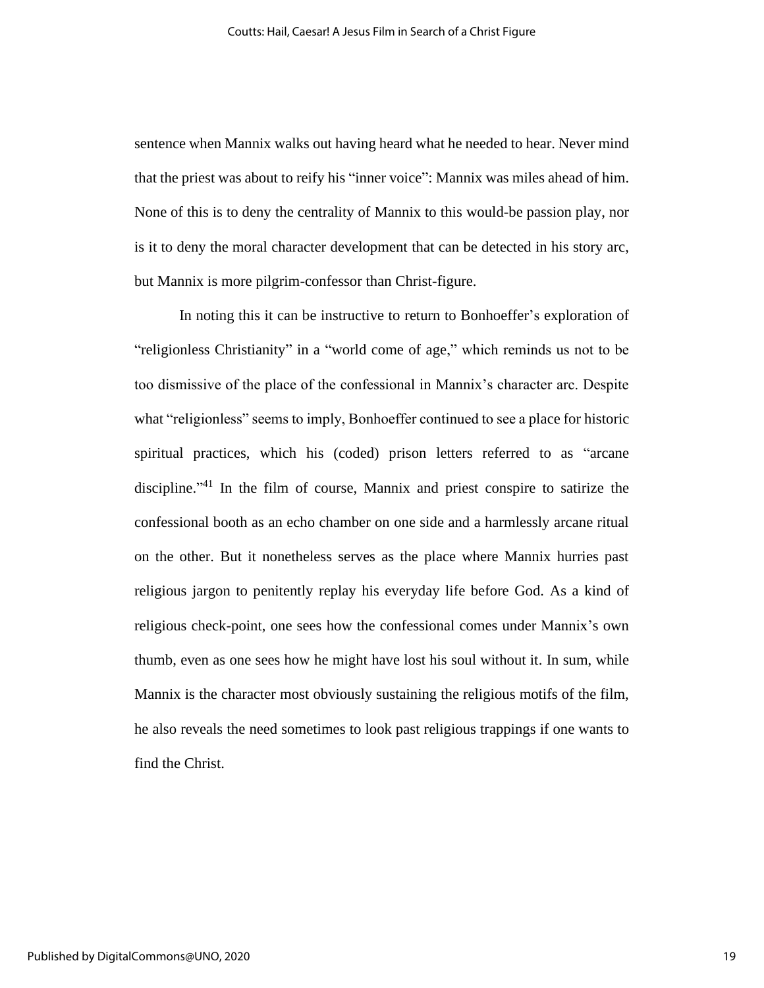sentence when Mannix walks out having heard what he needed to hear. Never mind that the priest was about to reify his "inner voice": Mannix was miles ahead of him. None of this is to deny the centrality of Mannix to this would-be passion play, nor is it to deny the moral character development that can be detected in his story arc, but Mannix is more pilgrim-confessor than Christ-figure.

In noting this it can be instructive to return to Bonhoeffer's exploration of "religionless Christianity" in a "world come of age," which reminds us not to be too dismissive of the place of the confessional in Mannix's character arc. Despite what "religionless" seems to imply, Bonhoeffer continued to see a place for historic spiritual practices, which his (coded) prison letters referred to as "arcane discipline."<sup>41</sup> In the film of course, Mannix and priest conspire to satirize the confessional booth as an echo chamber on one side and a harmlessly arcane ritual on the other. But it nonetheless serves as the place where Mannix hurries past religious jargon to penitently replay his everyday life before God. As a kind of religious check-point, one sees how the confessional comes under Mannix's own thumb, even as one sees how he might have lost his soul without it. In sum, while Mannix is the character most obviously sustaining the religious motifs of the film, he also reveals the need sometimes to look past religious trappings if one wants to find the Christ.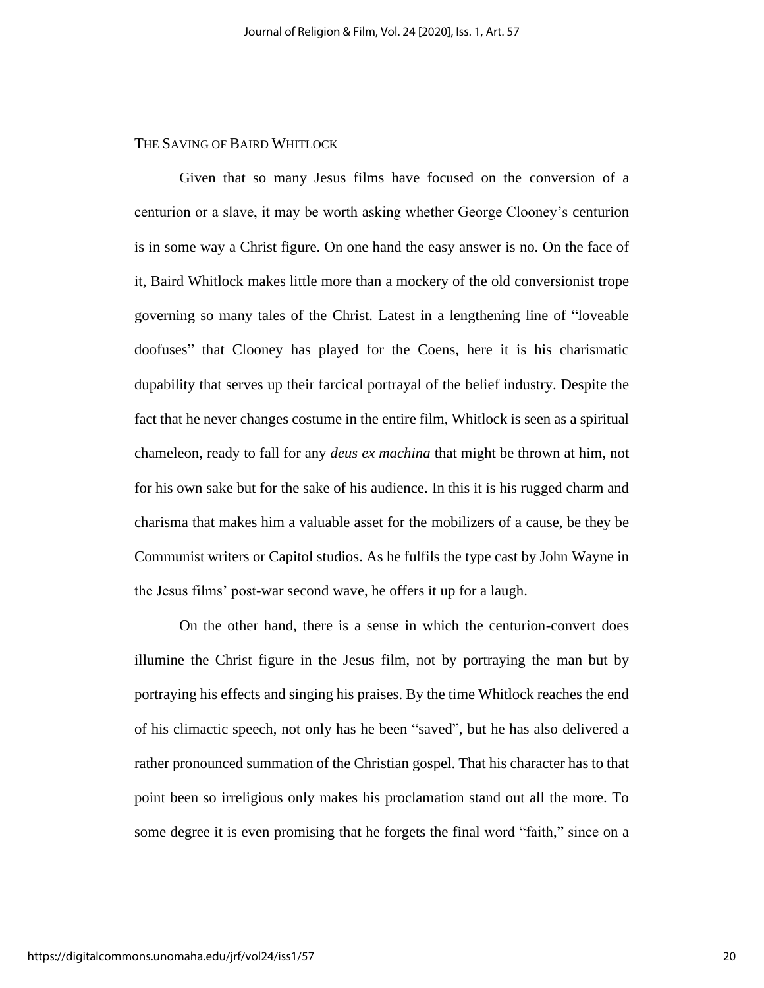## THE SAVING OF BAIRD WHITLOCK

Given that so many Jesus films have focused on the conversion of a centurion or a slave, it may be worth asking whether George Clooney's centurion is in some way a Christ figure. On one hand the easy answer is no. On the face of it, Baird Whitlock makes little more than a mockery of the old conversionist trope governing so many tales of the Christ. Latest in a lengthening line of "loveable doofuses" that Clooney has played for the Coens, here it is his charismatic dupability that serves up their farcical portrayal of the belief industry. Despite the fact that he never changes costume in the entire film, Whitlock is seen as a spiritual chameleon, ready to fall for any *deus ex machina* that might be thrown at him, not for his own sake but for the sake of his audience. In this it is his rugged charm and charisma that makes him a valuable asset for the mobilizers of a cause, be they be Communist writers or Capitol studios. As he fulfils the type cast by John Wayne in the Jesus films' post-war second wave, he offers it up for a laugh.

On the other hand, there is a sense in which the centurion-convert does illumine the Christ figure in the Jesus film, not by portraying the man but by portraying his effects and singing his praises. By the time Whitlock reaches the end of his climactic speech, not only has he been "saved", but he has also delivered a rather pronounced summation of the Christian gospel. That his character has to that point been so irreligious only makes his proclamation stand out all the more. To some degree it is even promising that he forgets the final word "faith," since on a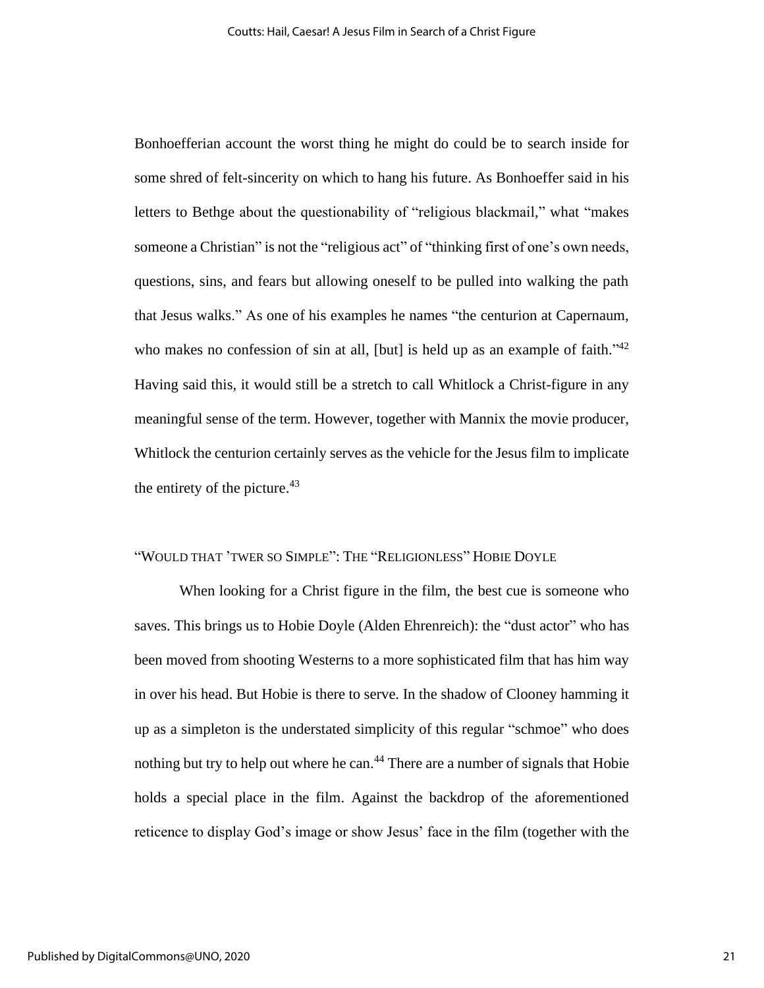Bonhoefferian account the worst thing he might do could be to search inside for some shred of felt-sincerity on which to hang his future. As Bonhoeffer said in his letters to Bethge about the questionability of "religious blackmail," what "makes someone a Christian" is not the "religious act" of "thinking first of one's own needs, questions, sins, and fears but allowing oneself to be pulled into walking the path that Jesus walks." As one of his examples he names "the centurion at Capernaum, who makes no confession of sin at all, [but] is held up as an example of faith."<sup>42</sup> Having said this, it would still be a stretch to call Whitlock a Christ-figure in any meaningful sense of the term. However, together with Mannix the movie producer, Whitlock the centurion certainly serves as the vehicle for the Jesus film to implicate the entirety of the picture. $43$ 

#### "WOULD THAT 'TWER SO SIMPLE": THE "RELIGIONLESS" HOBIE DOYLE

When looking for a Christ figure in the film, the best cue is someone who saves. This brings us to Hobie Doyle (Alden Ehrenreich): the "dust actor" who has been moved from shooting Westerns to a more sophisticated film that has him way in over his head. But Hobie is there to serve. In the shadow of Clooney hamming it up as a simpleton is the understated simplicity of this regular "schmoe" who does nothing but try to help out where he can.<sup>44</sup> There are a number of signals that Hobie holds a special place in the film. Against the backdrop of the aforementioned reticence to display God's image or show Jesus' face in the film (together with the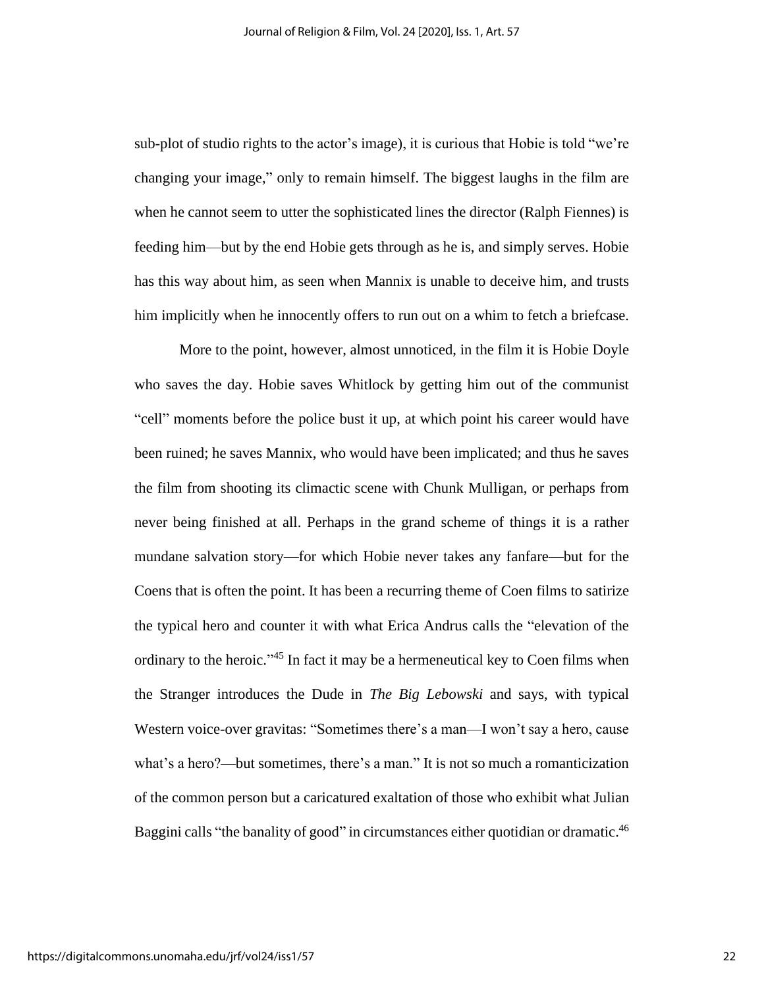sub-plot of studio rights to the actor's image), it is curious that Hobie is told "we're changing your image," only to remain himself. The biggest laughs in the film are when he cannot seem to utter the sophisticated lines the director (Ralph Fiennes) is feeding him—but by the end Hobie gets through as he is, and simply serves. Hobie has this way about him, as seen when Mannix is unable to deceive him, and trusts him implicitly when he innocently offers to run out on a whim to fetch a briefcase.

More to the point, however, almost unnoticed, in the film it is Hobie Doyle who saves the day. Hobie saves Whitlock by getting him out of the communist "cell" moments before the police bust it up, at which point his career would have been ruined; he saves Mannix, who would have been implicated; and thus he saves the film from shooting its climactic scene with Chunk Mulligan, or perhaps from never being finished at all. Perhaps in the grand scheme of things it is a rather mundane salvation story—for which Hobie never takes any fanfare—but for the Coens that is often the point. It has been a recurring theme of Coen films to satirize the typical hero and counter it with what Erica Andrus calls the "elevation of the ordinary to the heroic."<sup>45</sup> In fact it may be a hermeneutical key to Coen films when the Stranger introduces the Dude in *The Big Lebowski* and says, with typical Western voice-over gravitas: "Sometimes there's a man—I won't say a hero, cause what's a hero?—but sometimes, there's a man." It is not so much a romanticization of the common person but a caricatured exaltation of those who exhibit what Julian Baggini calls "the banality of good" in circumstances either quotidian or dramatic.<sup>46</sup>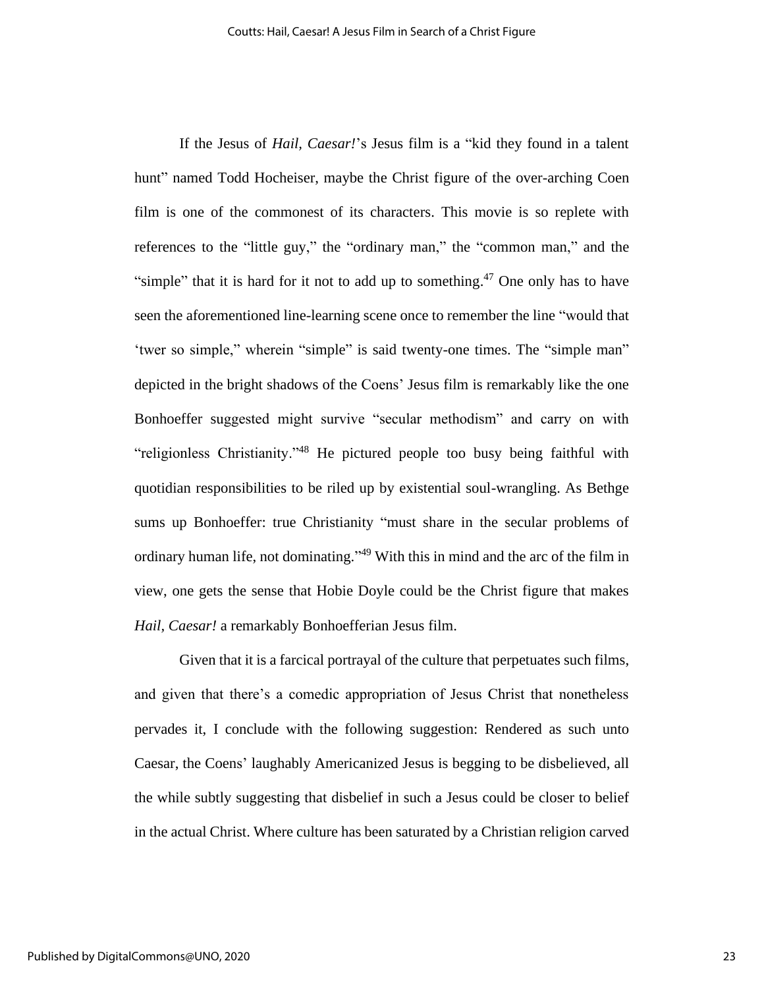If the Jesus of *Hail, Caesar!*'s Jesus film is a "kid they found in a talent hunt" named Todd Hocheiser, maybe the Christ figure of the over-arching Coen film is one of the commonest of its characters. This movie is so replete with references to the "little guy," the "ordinary man," the "common man," and the "simple" that it is hard for it not to add up to something. $47$  One only has to have seen the aforementioned line-learning scene once to remember the line "would that 'twer so simple," wherein "simple" is said twenty-one times. The "simple man" depicted in the bright shadows of the Coens' Jesus film is remarkably like the one Bonhoeffer suggested might survive "secular methodism" and carry on with "religionless Christianity."<sup>48</sup> He pictured people too busy being faithful with quotidian responsibilities to be riled up by existential soul-wrangling. As Bethge sums up Bonhoeffer: true Christianity "must share in the secular problems of ordinary human life, not dominating."<sup>49</sup> With this in mind and the arc of the film in view, one gets the sense that Hobie Doyle could be the Christ figure that makes *Hail, Caesar!* a remarkably Bonhoefferian Jesus film.

Given that it is a farcical portrayal of the culture that perpetuates such films, and given that there's a comedic appropriation of Jesus Christ that nonetheless pervades it, I conclude with the following suggestion: Rendered as such unto Caesar, the Coens' laughably Americanized Jesus is begging to be disbelieved, all the while subtly suggesting that disbelief in such a Jesus could be closer to belief in the actual Christ. Where culture has been saturated by a Christian religion carved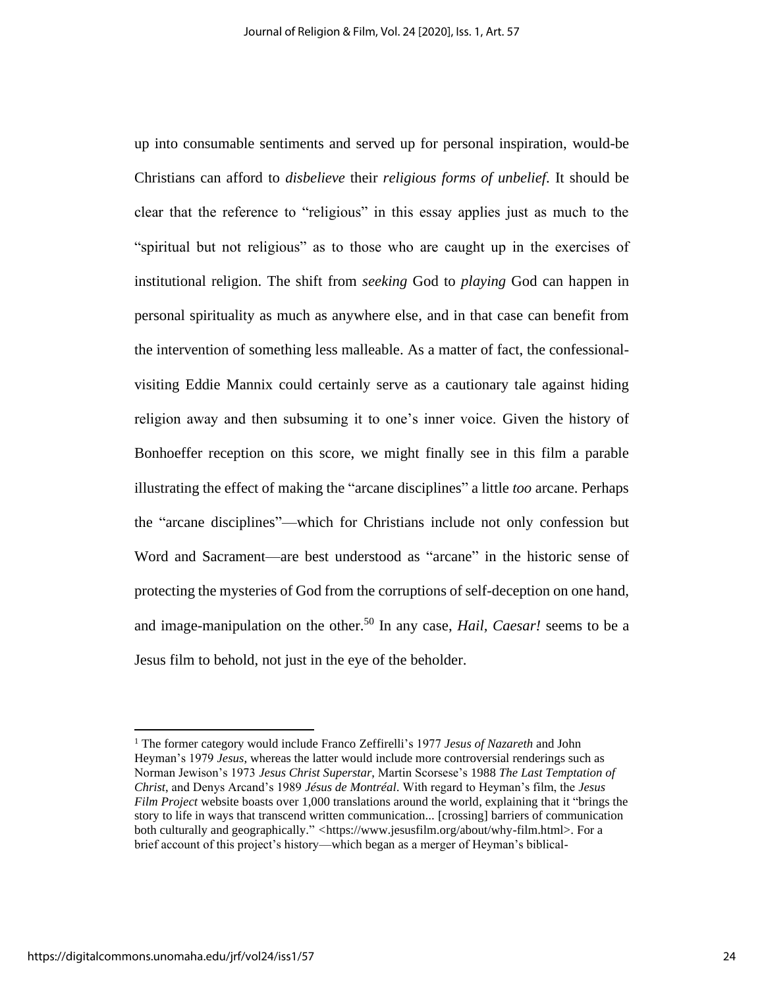up into consumable sentiments and served up for personal inspiration, would-be Christians can afford to *disbelieve* their *religious forms of unbelief*. It should be clear that the reference to "religious" in this essay applies just as much to the "spiritual but not religious" as to those who are caught up in the exercises of institutional religion. The shift from *seeking* God to *playing* God can happen in personal spirituality as much as anywhere else, and in that case can benefit from the intervention of something less malleable. As a matter of fact, the confessionalvisiting Eddie Mannix could certainly serve as a cautionary tale against hiding religion away and then subsuming it to one's inner voice. Given the history of Bonhoeffer reception on this score, we might finally see in this film a parable illustrating the effect of making the "arcane disciplines" a little *too* arcane. Perhaps the "arcane disciplines"—which for Christians include not only confession but Word and Sacrament—are best understood as "arcane" in the historic sense of protecting the mysteries of God from the corruptions of self-deception on one hand, and image-manipulation on the other. <sup>50</sup> In any case, *Hail, Caesar!* seems to be a Jesus film to behold, not just in the eye of the beholder.

<sup>1</sup> The former category would include Franco Zeffirelli's 1977 *Jesus of Nazareth* and John Heyman's 1979 *Jesus*, whereas the latter would include more controversial renderings such as Norman Jewison's 1973 *Jesus Christ Superstar*, Martin Scorsese's 1988 *The Last Temptation of Christ*, and Denys Arcand's 1989 *Jésus de Montréal*. With regard to Heyman's film, the *Jesus Film Project* website boasts over 1,000 translations around the world, explaining that it "brings the story to life in ways that transcend written communication... [crossing] barriers of communication both culturally and geographically." *<*https://www.jesusfilm.org/about/why-film.html>. For a brief account of this project's history—which began as a merger of Heyman's biblical-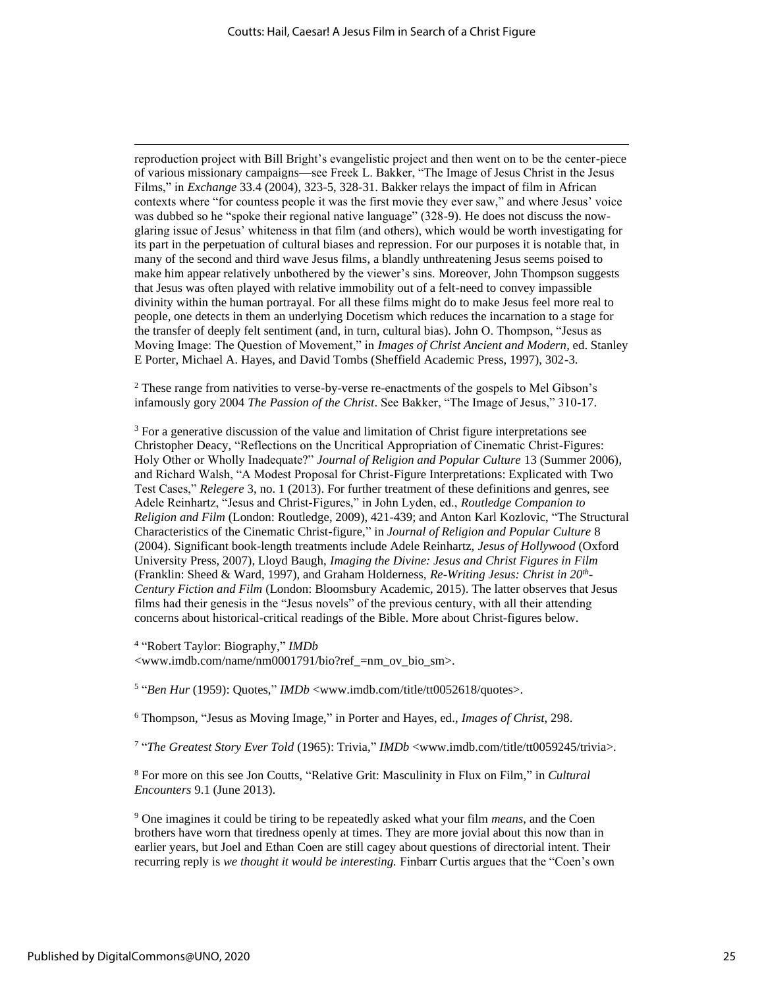reproduction project with Bill Bright's evangelistic project and then went on to be the center-piece of various missionary campaigns—see Freek L. Bakker, "The Image of Jesus Christ in the Jesus Films," in *Exchange* 33.4 (2004), 323-5, 328-31. Bakker relays the impact of film in African contexts where "for countess people it was the first movie they ever saw," and where Jesus' voice was dubbed so he "spoke their regional native language" (328-9). He does not discuss the nowglaring issue of Jesus' whiteness in that film (and others), which would be worth investigating for its part in the perpetuation of cultural biases and repression. For our purposes it is notable that, in many of the second and third wave Jesus films, a blandly unthreatening Jesus seems poised to make him appear relatively unbothered by the viewer's sins. Moreover, John Thompson suggests that Jesus was often played with relative immobility out of a felt-need to convey impassible divinity within the human portrayal. For all these films might do to make Jesus feel more real to people, one detects in them an underlying Docetism which reduces the incarnation to a stage for the transfer of deeply felt sentiment (and, in turn, cultural bias). John O. Thompson, "Jesus as Moving Image: The Question of Movement," in *Images of Christ Ancient and Modern*, ed. Stanley E Porter, Michael A. Hayes, and David Tombs (Sheffield Academic Press, 1997), 302-3.

<sup>2</sup> These range from nativities to verse-by-verse re-enactments of the gospels to Mel Gibson's infamously gory 2004 *The Passion of the Christ*. See Bakker, "The Image of Jesus," 310-17.

 $3$  For a generative discussion of the value and limitation of Christ figure interpretations see Christopher Deacy, "Reflections on the Uncritical Appropriation of Cinematic Christ-Figures: Holy Other or Wholly Inadequate?" *Journal of Religion and Popular Culture* 13 (Summer 2006), and Richard Walsh, "A Modest Proposal for Christ-Figure Interpretations: Explicated with Two Test Cases," *Relegere* 3, no. 1 (2013). For further treatment of these definitions and genres, see Adele Reinhartz, "Jesus and Christ-Figures," in John Lyden, ed., *Routledge Companion to Religion and Film* (London: Routledge, 2009), 421-439; and Anton Karl Kozlovic, "The Structural Characteristics of the Cinematic Christ-figure," in *Journal of Religion and Popular Culture* 8 (2004). Significant book-length treatments include Adele Reinhartz, *Jesus of Hollywood* (Oxford University Press, 2007), Lloyd Baugh, *Imaging the Divine: Jesus and Christ Figures in Film*  (Franklin: Sheed & Ward, 1997), and Graham Holderness, *Re-Writing Jesus: Christ in 20th - Century Fiction and Film* (London: Bloomsbury Academic, 2015). The latter observes that Jesus films had their genesis in the "Jesus novels" of the previous century, with all their attending concerns about historical-critical readings of the Bible. More about Christ-figures below.

4 "Robert Taylor: Biography," *IMDb* <www.imdb.com/name/nm0001791/bio?ref\_=nm\_ov\_bio\_sm>.

<sup>5</sup> "*Ben Hur* (1959): Quotes," *IMDb* <www.imdb.com/title/tt0052618/quotes>.

<sup>6</sup> Thompson, "Jesus as Moving Image," in Porter and Hayes, ed., *Images of Christ*, 298.

7 "*The Greatest Story Ever Told* (1965): Trivia," *IMDb* <www.imdb.com/title/tt0059245/trivia>.

<sup>8</sup> For more on this see Jon Coutts, "Relative Grit: Masculinity in Flux on Film," in *Cultural Encounters* 9.1 (June 2013).

<sup>9</sup> One imagines it could be tiring to be repeatedly asked what your film *means*, and the Coen brothers have worn that tiredness openly at times. They are more jovial about this now than in earlier years, but Joel and Ethan Coen are still cagey about questions of directorial intent. Their recurring reply is *we thought it would be interesting.* Finbarr Curtis argues that the "Coen's own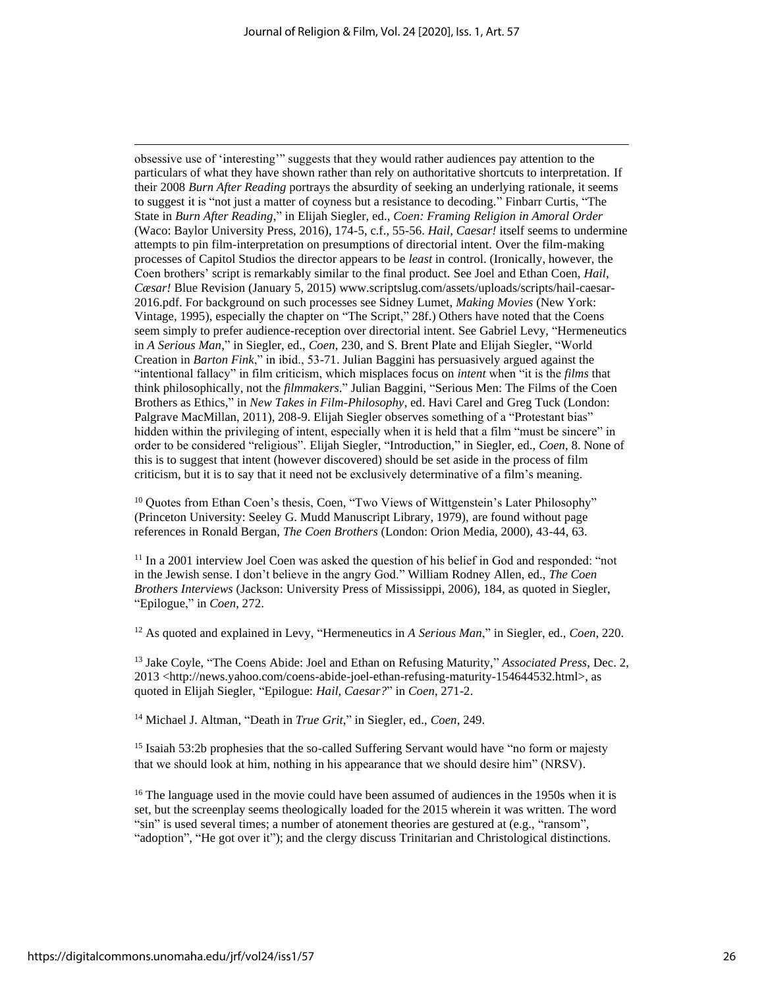obsessive use of 'interesting'" suggests that they would rather audiences pay attention to the particulars of what they have shown rather than rely on authoritative shortcuts to interpretation. If their 2008 *Burn After Reading* portrays the absurdity of seeking an underlying rationale, it seems to suggest it is "not just a matter of coyness but a resistance to decoding." Finbarr Curtis, "The State in *Burn After Reading*," in Elijah Siegler, ed., *Coen: Framing Religion in Amoral Order* (Waco: Baylor University Press, 2016), 174-5, c.f., 55-56. *Hail, Caesar!* itself seems to undermine attempts to pin film-interpretation on presumptions of directorial intent. Over the film-making processes of Capitol Studios the director appears to be *least* in control. (Ironically, however, the Coen brothers' script is remarkably similar to the final product. See Joel and Ethan Coen, *Hail, Cæsar!* Blue Revision (January 5, 2015) www.scriptslug.com/assets/uploads/scripts/hail-caesar-2016.pdf. For background on such processes see Sidney Lumet, *Making Movies* (New York: Vintage, 1995), especially the chapter on "The Script," 28f.) Others have noted that the Coens seem simply to prefer audience-reception over directorial intent. See Gabriel Levy, "Hermeneutics in *A Serious Man*," in Siegler, ed., *Coen*, 230, and S. Brent Plate and Elijah Siegler, "World Creation in *Barton Fink*," in ibid., 53-71. Julian Baggini has persuasively argued against the "intentional fallacy" in film criticism, which misplaces focus on *intent* when "it is the *films* that think philosophically, not the *filmmakers*." Julian Baggini, "Serious Men: The Films of the Coen Brothers as Ethics," in *New Takes in Film-Philosophy*, ed. Havi Carel and Greg Tuck (London: Palgrave MacMillan, 2011), 208-9. Elijah Siegler observes something of a "Protestant bias" hidden within the privileging of intent, especially when it is held that a film "must be sincere" in order to be considered "religious". Elijah Siegler, "Introduction," in Siegler, ed., *Coen*, 8. None of this is to suggest that intent (however discovered) should be set aside in the process of film criticism, but it is to say that it need not be exclusively determinative of a film's meaning.

<sup>10</sup> Quotes from Ethan Coen's thesis, Coen, "Two Views of Wittgenstein's Later Philosophy" (Princeton University: Seeley G. Mudd Manuscript Library, 1979), are found without page references in Ronald Bergan, *The Coen Brothers* (London: Orion Media, 2000), 43-44, 63.

 $11$  In a 2001 interview Joel Coen was asked the question of his belief in God and responded: "not in the Jewish sense. I don't believe in the angry God." William Rodney Allen, ed., *The Coen Brothers Interviews* (Jackson: University Press of Mississippi, 2006), 184, as quoted in Siegler, "Epilogue," in *Coen*, 272.

<sup>12</sup> As quoted and explained in Levy, "Hermeneutics in *A Serious Man*," in Siegler, ed., *Coen*, 220.

<sup>13</sup> Jake Coyle, "The Coens Abide: Joel and Ethan on Refusing Maturity," *Associated Press*, Dec. 2, 2013 <http://news.yahoo.com/coens-abide-joel-ethan-refusing-maturity-154644532.html>, as quoted in Elijah Siegler, "Epilogue: *Hail, Caesar?*" in *Coen*, 271-2.

<sup>14</sup> Michael J. Altman, "Death in *True Grit*," in Siegler, ed., *Coen*, 249.

<sup>15</sup> Isaiah 53:2b prophesies that the so-called Suffering Servant would have "no form or majesty that we should look at him, nothing in his appearance that we should desire him" (NRSV).

 $16$  The language used in the movie could have been assumed of audiences in the 1950s when it is set, but the screenplay seems theologically loaded for the 2015 wherein it was written. The word "sin" is used several times; a number of atonement theories are gestured at (e.g., "ransom", "adoption", "He got over it"); and the clergy discuss Trinitarian and Christological distinctions.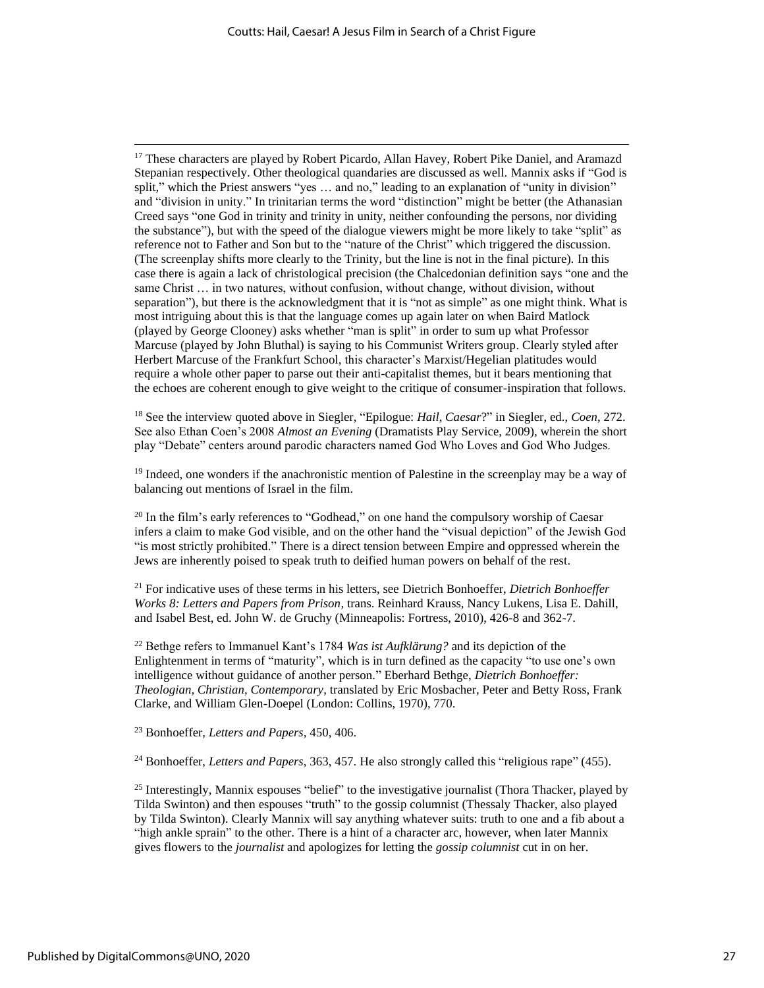<sup>17</sup> These characters are played by Robert Picardo, Allan Havey, Robert Pike Daniel, and Aramazd Stepanian respectively. Other theological quandaries are discussed as well. Mannix asks if "God is split," which the Priest answers "yes … and no," leading to an explanation of "unity in division" and "division in unity." In trinitarian terms the word "distinction" might be better (the Athanasian Creed says "one God in trinity and trinity in unity, neither confounding the persons, nor dividing the substance"), but with the speed of the dialogue viewers might be more likely to take "split" as reference not to Father and Son but to the "nature of the Christ" which triggered the discussion. (The screenplay shifts more clearly to the Trinity, but the line is not in the final picture). In this case there is again a lack of christological precision (the Chalcedonian definition says "one and the same Christ … in two natures, without confusion, without change, without division, without separation"), but there is the acknowledgment that it is "not as simple" as one might think. What is most intriguing about this is that the language comes up again later on when Baird Matlock (played by George Clooney) asks whether "man is split" in order to sum up what Professor Marcuse (played by John Bluthal) is saying to his Communist Writers group. Clearly styled after Herbert Marcuse of the Frankfurt School, this character's Marxist/Hegelian platitudes would require a whole other paper to parse out their anti-capitalist themes, but it bears mentioning that the echoes are coherent enough to give weight to the critique of consumer-inspiration that follows.

<sup>18</sup> See the interview quoted above in Siegler, "Epilogue: *Hail, Caesar*?" in Siegler, ed., *Coen*, 272. See also Ethan Coen's 2008 *Almost an Evening* (Dramatists Play Service, 2009), wherein the short play "Debate" centers around parodic characters named God Who Loves and God Who Judges.

<sup>19</sup> Indeed, one wonders if the anachronistic mention of Palestine in the screenplay may be a way of balancing out mentions of Israel in the film.

 $^{20}$  In the film's early references to "Godhead," on one hand the compulsory worship of Caesar infers a claim to make God visible, and on the other hand the "visual depiction" of the Jewish God "is most strictly prohibited." There is a direct tension between Empire and oppressed wherein the Jews are inherently poised to speak truth to deified human powers on behalf of the rest.

<sup>21</sup> For indicative uses of these terms in his letters, see Dietrich Bonhoeffer, *Dietrich Bonhoeffer Works 8: Letters and Papers from Prison*, trans. Reinhard Krauss, Nancy Lukens, Lisa E. Dahill, and Isabel Best, ed. John W. de Gruchy (Minneapolis: Fortress, 2010), 426-8 and 362-7.

<sup>22</sup> Bethge refers to Immanuel Kant's 1784 *Was ist Aufklärung?* and its depiction of the Enlightenment in terms of "maturity", which is in turn defined as the capacity "to use one's own intelligence without guidance of another person." Eberhard Bethge, *Dietrich Bonhoeffer: Theologian, Christian, Contemporary*, translated by Eric Mosbacher, Peter and Betty Ross, Frank Clarke, and William Glen-Doepel (London: Collins, 1970), 770.

<sup>23</sup> Bonhoeffer, *Letters and Papers*, 450, 406.

<sup>24</sup> Bonhoeffer, *Letters and Papers*, 363, 457. He also strongly called this "religious rape" (455).

<sup>25</sup> Interestingly, Mannix espouses "belief" to the investigative journalist (Thora Thacker, played by Tilda Swinton) and then espouses "truth" to the gossip columnist (Thessaly Thacker, also played by Tilda Swinton). Clearly Mannix will say anything whatever suits: truth to one and a fib about a "high ankle sprain" to the other. There is a hint of a character arc, however, when later Mannix gives flowers to the *journalist* and apologizes for letting the *gossip columnist* cut in on her.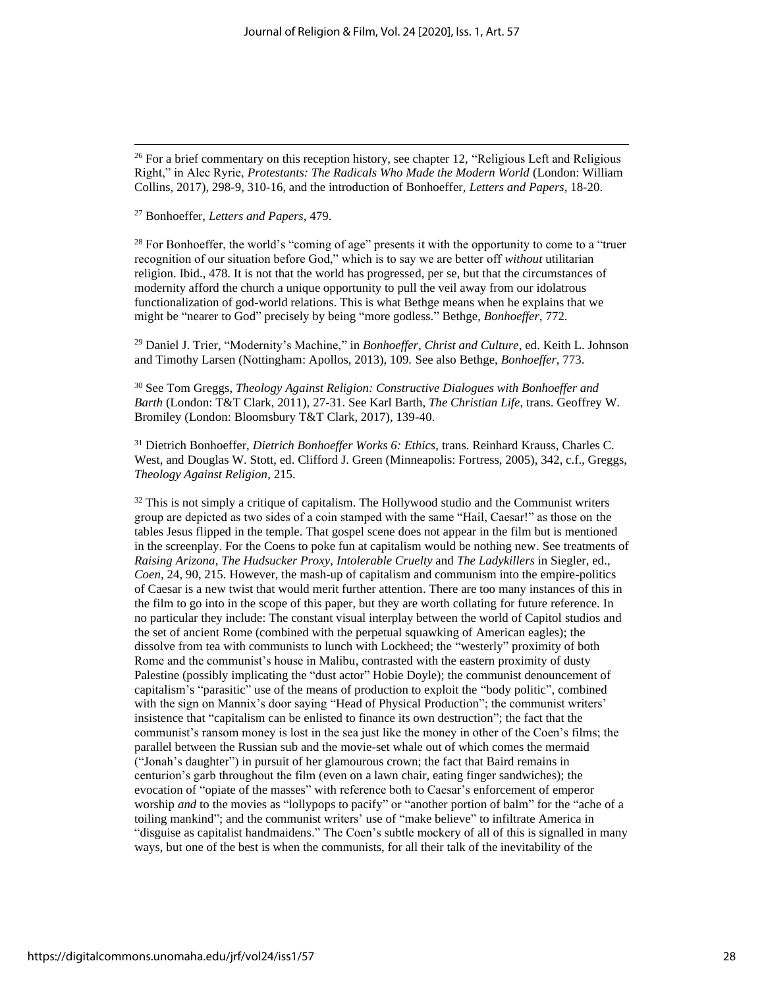#### <sup>27</sup> Bonhoeffer, *Letters and Papers*, 479.

 $28$  For Bonhoeffer, the world's "coming of age" presents it with the opportunity to come to a "truer recognition of our situation before God," which is to say we are better off *without* utilitarian religion. Ibid., 478. It is not that the world has progressed, per se, but that the circumstances of modernity afford the church a unique opportunity to pull the veil away from our idolatrous functionalization of god-world relations. This is what Bethge means when he explains that we might be "nearer to God" precisely by being "more godless." Bethge, *Bonhoeffer*, 772.

<sup>29</sup> Daniel J. Trier, "Modernity's Machine," in *Bonhoeffer, Christ and Culture*, ed. Keith L. Johnson and Timothy Larsen (Nottingham: Apollos, 2013), 109. See also Bethge, *Bonhoeffer*, 773.

<sup>30</sup> See Tom Greggs, *Theology Against Religion: Constructive Dialogues with Bonhoeffer and Barth* (London: T&T Clark, 2011), 27-31. See Karl Barth, *The Christian Life*, trans. Geoffrey W. Bromiley (London: Bloomsbury T&T Clark, 2017), 139-40.

<sup>31</sup> Dietrich Bonhoeffer, *Dietrich Bonhoeffer Works 6: Ethics*, trans. Reinhard Krauss, Charles C. West, and Douglas W. Stott, ed. Clifford J. Green (Minneapolis: Fortress, 2005)*,* 342, c.f., Greggs, *Theology Against Religion*, 215.

 $32$  This is not simply a critique of capitalism. The Hollywood studio and the Communist writers group are depicted as two sides of a coin stamped with the same "Hail, Caesar!" as those on the tables Jesus flipped in the temple. That gospel scene does not appear in the film but is mentioned in the screenplay. For the Coens to poke fun at capitalism would be nothing new. See treatments of *Raising Arizona*, *The Hudsucker Proxy*, *Intolerable Cruelty* and *The Ladykillers* in Siegler, ed., *Coen*, 24, 90, 215. However, the mash-up of capitalism and communism into the empire-politics of Caesar is a new twist that would merit further attention. There are too many instances of this in the film to go into in the scope of this paper, but they are worth collating for future reference. In no particular they include: The constant visual interplay between the world of Capitol studios and the set of ancient Rome (combined with the perpetual squawking of American eagles); the dissolve from tea with communists to lunch with Lockheed; the "westerly" proximity of both Rome and the communist's house in Malibu, contrasted with the eastern proximity of dusty Palestine (possibly implicating the "dust actor" Hobie Doyle); the communist denouncement of capitalism's "parasitic" use of the means of production to exploit the "body politic", combined with the sign on Mannix's door saying "Head of Physical Production"; the communist writers' insistence that "capitalism can be enlisted to finance its own destruction"; the fact that the communist's ransom money is lost in the sea just like the money in other of the Coen's films; the parallel between the Russian sub and the movie-set whale out of which comes the mermaid ("Jonah's daughter") in pursuit of her glamourous crown; the fact that Baird remains in centurion's garb throughout the film (even on a lawn chair, eating finger sandwiches); the evocation of "opiate of the masses" with reference both to Caesar's enforcement of emperor worship *and* to the movies as "lollypops to pacify" or "another portion of balm" for the "ache of a toiling mankind"; and the communist writers' use of "make believe" to infiltrate America in "disguise as capitalist handmaidens." The Coen's subtle mockery of all of this is signalled in many ways, but one of the best is when the communists, for all their talk of the inevitability of the

<sup>&</sup>lt;sup>26</sup> For a brief commentary on this reception history, see chapter 12, "Religious Left and Religious Right," in Alec Ryrie, *Protestants: The Radicals Who Made the Modern World* (London: William Collins, 2017), 298-9, 310-16, and the introduction of Bonhoeffer, *Letters and Papers*, 18-20.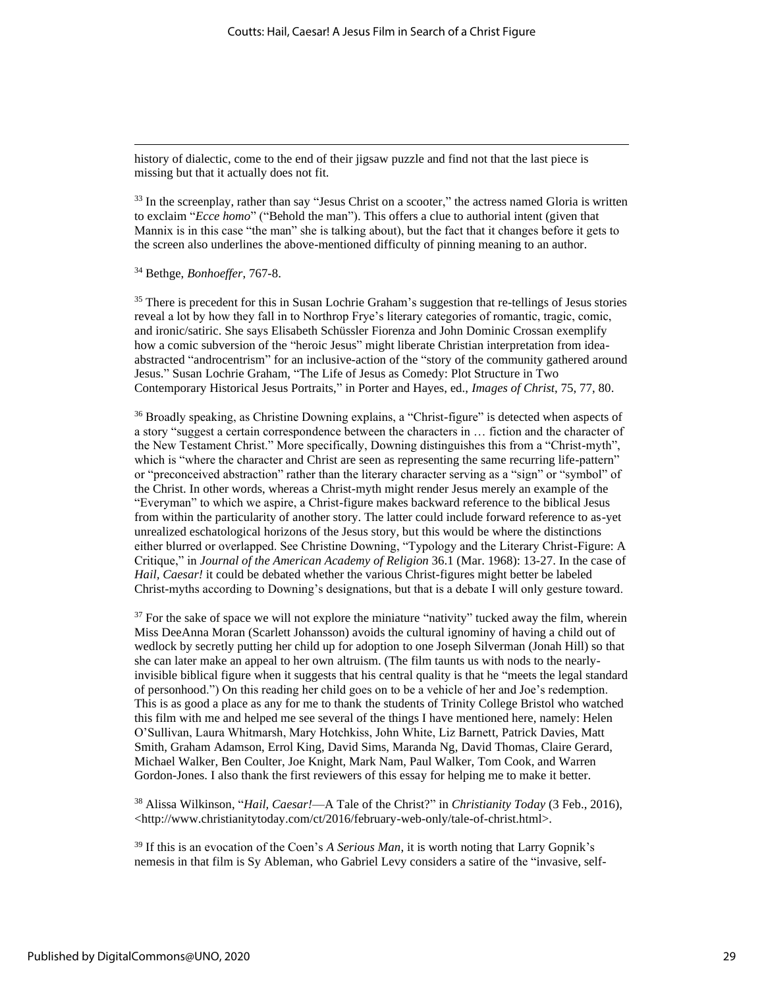history of dialectic, come to the end of their jigsaw puzzle and find not that the last piece is missing but that it actually does not fit.

<sup>33</sup> In the screenplay, rather than say "Jesus Christ on a scooter," the actress named Gloria is written to exclaim "*Ecce homo*" ("Behold the man"). This offers a clue to authorial intent (given that Mannix is in this case "the man" she is talking about), but the fact that it changes before it gets to the screen also underlines the above-mentioned difficulty of pinning meaning to an author.

#### <sup>34</sup> Bethge, *Bonhoeffer*, 767-8.

<sup>35</sup> There is precedent for this in Susan Lochrie Graham's suggestion that re-tellings of Jesus stories reveal a lot by how they fall in to Northrop Frye's literary categories of romantic, tragic, comic, and ironic/satiric. She says Elisabeth Schüssler Fiorenza and John Dominic Crossan exemplify how a comic subversion of the "heroic Jesus" might liberate Christian interpretation from ideaabstracted "androcentrism" for an inclusive-action of the "story of the community gathered around Jesus." Susan Lochrie Graham, "The Life of Jesus as Comedy: Plot Structure in Two Contemporary Historical Jesus Portraits," in Porter and Hayes, ed., *Images of Christ*, 75, 77, 80.

<sup>36</sup> Broadly speaking, as Christine Downing explains, a "Christ-figure" is detected when aspects of a story "suggest a certain correspondence between the characters in … fiction and the character of the New Testament Christ." More specifically, Downing distinguishes this from a "Christ-myth", which is "where the character and Christ are seen as representing the same recurring life-pattern" or "preconceived abstraction" rather than the literary character serving as a "sign" or "symbol" of the Christ. In other words, whereas a Christ-myth might render Jesus merely an example of the "Everyman" to which we aspire, a Christ-figure makes backward reference to the biblical Jesus from within the particularity of another story. The latter could include forward reference to as-yet unrealized eschatological horizons of the Jesus story, but this would be where the distinctions either blurred or overlapped. See Christine Downing, "Typology and the Literary Christ-Figure: A Critique," in *Journal of the American Academy of Religion* 36.1 (Mar. 1968): 13-27. In the case of *Hail, Caesar!* it could be debated whether the various Christ-figures might better be labeled Christ-myths according to Downing's designations, but that is a debate I will only gesture toward.

 $37$  For the sake of space we will not explore the miniature "nativity" tucked away the film, wherein Miss DeeAnna Moran (Scarlett Johansson) avoids the cultural ignominy of having a child out of wedlock by secretly putting her child up for adoption to one Joseph Silverman (Jonah Hill) so that she can later make an appeal to her own altruism. (The film taunts us with nods to the nearlyinvisible biblical figure when it suggests that his central quality is that he "meets the legal standard of personhood.") On this reading her child goes on to be a vehicle of her and Joe's redemption. This is as good a place as any for me to thank the students of Trinity College Bristol who watched this film with me and helped me see several of the things I have mentioned here, namely: Helen O'Sullivan, Laura Whitmarsh, Mary Hotchkiss, John White, Liz Barnett, Patrick Davies, Matt Smith, Graham Adamson, Errol King, David Sims, Maranda Ng, David Thomas, Claire Gerard, Michael Walker, Ben Coulter, Joe Knight, Mark Nam, Paul Walker, Tom Cook, and Warren Gordon-Jones. I also thank the first reviewers of this essay for helping me to make it better.

<sup>38</sup> Alissa Wilkinson, "*Hail, Caesar!*—A Tale of the Christ?" in *Christianity Today* (3 Feb., 2016), <http://www.christianitytoday.com/ct/2016/february-web-only/tale-of-christ.html>.

<sup>39</sup> If this is an evocation of the Coen's *A Serious Man*, it is worth noting that Larry Gopnik's nemesis in that film is Sy Ableman, who Gabriel Levy considers a satire of the "invasive, self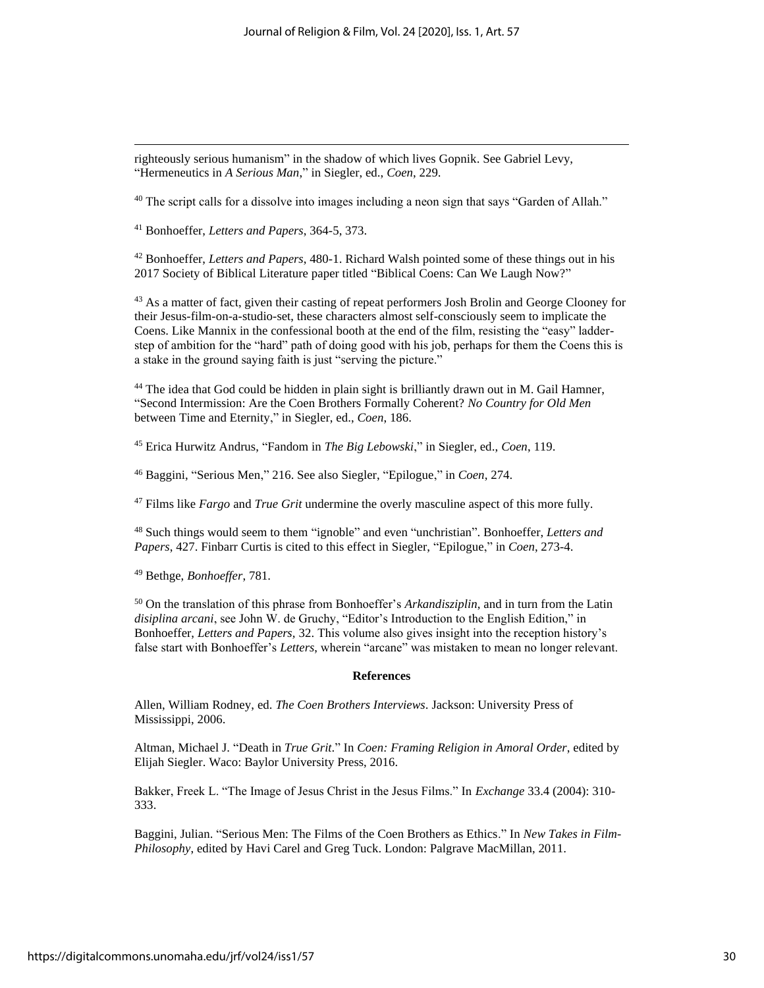righteously serious humanism" in the shadow of which lives Gopnik. See Gabriel Levy, "Hermeneutics in *A Serious Man*," in Siegler, ed., *Coen*, 229.

<sup>40</sup> The script calls for a dissolve into images including a neon sign that says "Garden of Allah."

<sup>41</sup> Bonhoeffer, *Letters and Papers*, 364-5, 373.

<sup>42</sup> Bonhoeffer, *Letters and Papers*, 480-1. Richard Walsh pointed some of these things out in his 2017 Society of Biblical Literature paper titled "Biblical Coens: Can We Laugh Now?"

<sup>43</sup> As a matter of fact, given their casting of repeat performers Josh Brolin and George Clooney for their Jesus-film-on-a-studio-set, these characters almost self-consciously seem to implicate the Coens. Like Mannix in the confessional booth at the end of the film, resisting the "easy" ladderstep of ambition for the "hard" path of doing good with his job, perhaps for them the Coens this is a stake in the ground saying faith is just "serving the picture."

 $44$  The idea that God could be hidden in plain sight is brilliantly drawn out in M. Gail Hamner, "Second Intermission: Are the Coen Brothers Formally Coherent? *No Country for Old Men*  between Time and Eternity," in Siegler, ed., *Coen*, 186.

<sup>45</sup> Erica Hurwitz Andrus, "Fandom in *The Big Lebowski*," in Siegler, ed., *Coen*, 119.

<sup>46</sup> Baggini, "Serious Men," 216. See also Siegler, "Epilogue," in *Coen*, 274.

<sup>47</sup> Films like *Fargo* and *True Grit* undermine the overly masculine aspect of this more fully.

<sup>48</sup> Such things would seem to them "ignoble" and even "unchristian". Bonhoeffer, *Letters and Papers*, 427. Finbarr Curtis is cited to this effect in Siegler, "Epilogue," in *Coen*, 273-4.

<sup>49</sup> Bethge, *Bonhoeffer*, 781.

<sup>50</sup> On the translation of this phrase from Bonhoeffer's *Arkandisziplin*, and in turn from the Latin *disiplina arcani*, see John W. de Gruchy, "Editor's Introduction to the English Edition," in Bonhoeffer, *Letters and Papers,* 32. This volume also gives insight into the reception history's false start with Bonhoeffer's *Letters*, wherein "arcane" was mistaken to mean no longer relevant.

#### **References**

Allen, William Rodney, ed. *The Coen Brothers Interviews*. Jackson: University Press of Mississippi, 2006.

Altman, Michael J. "Death in *True Grit*." In *Coen: Framing Religion in Amoral Order*, edited by Elijah Siegler. Waco: Baylor University Press, 2016.

Bakker, Freek L. "The Image of Jesus Christ in the Jesus Films." In *Exchange* 33.4 (2004): 310- 333.

Baggini, Julian. "Serious Men: The Films of the Coen Brothers as Ethics." In *New Takes in Film-Philosophy*, edited by Havi Carel and Greg Tuck. London: Palgrave MacMillan, 2011.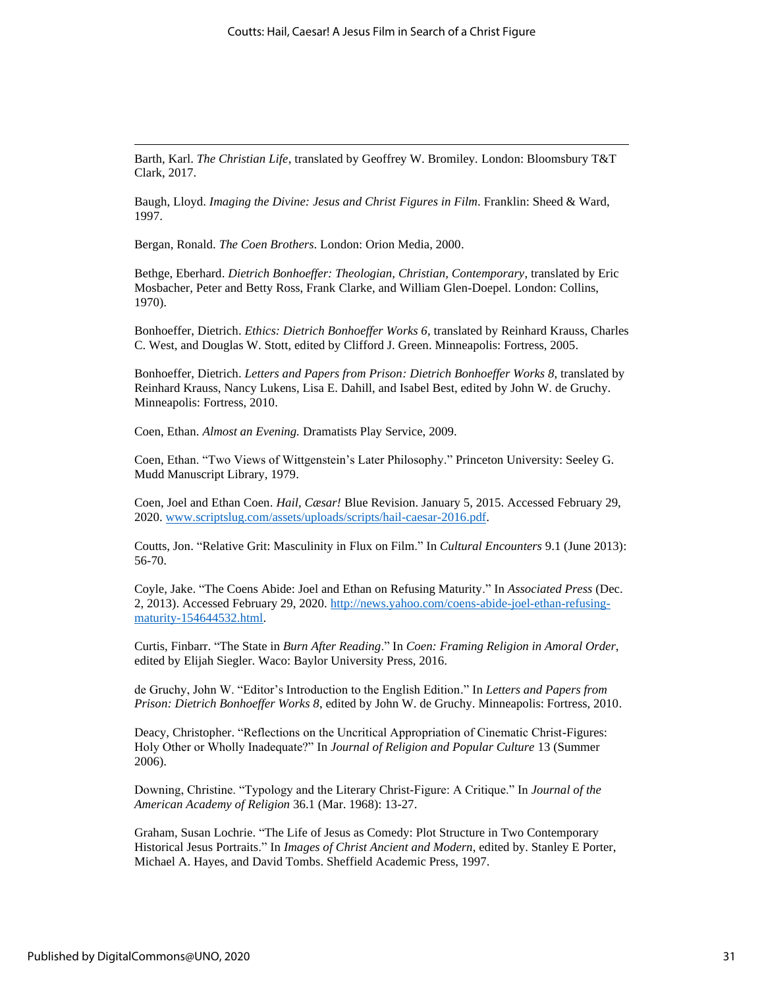Barth, Karl. *The Christian Life*, translated by Geoffrey W. Bromiley*.* London: Bloomsbury T&T Clark, 2017.

Baugh, Lloyd. *Imaging the Divine: Jesus and Christ Figures in Film*. Franklin: Sheed & Ward, 1997.

Bergan, Ronald. *The Coen Brothers*. London: Orion Media, 2000.

Bethge, Eberhard. *Dietrich Bonhoeffer: Theologian, Christian, Contemporary*, translated by Eric Mosbacher, Peter and Betty Ross, Frank Clarke, and William Glen-Doepel. London: Collins, 1970).

Bonhoeffer, Dietrich. *Ethics: Dietrich Bonhoeffer Works 6*, translated by Reinhard Krauss, Charles C. West, and Douglas W. Stott, edited by Clifford J. Green. Minneapolis: Fortress, 2005.

Bonhoeffer, Dietrich. *Letters and Papers from Prison: Dietrich Bonhoeffer Works 8*, translated by Reinhard Krauss, Nancy Lukens, Lisa E. Dahill, and Isabel Best, edited by John W. de Gruchy. Minneapolis: Fortress, 2010.

Coen, Ethan. *Almost an Evening.* Dramatists Play Service, 2009.

Coen, Ethan. "Two Views of Wittgenstein's Later Philosophy." Princeton University: Seeley G. Mudd Manuscript Library, 1979.

Coen, Joel and Ethan Coen. *Hail, Cæsar!* Blue Revision. January 5, 2015. Accessed February 29, 2020[. www.scriptslug.com/assets/uploads/scripts/hail-caesar-2016.pdf.](http://www.scriptslug.com/assets/uploads/scripts/hail-caesar-2016.pdf)

Coutts, Jon. "Relative Grit: Masculinity in Flux on Film." In *Cultural Encounters* 9.1 (June 2013): 56-70.

Coyle, Jake. "The Coens Abide: Joel and Ethan on Refusing Maturity." In *Associated Press* (Dec. 2, 2013). Accessed February 29, 2020. [http://news.yahoo.com/coens-abide-joel-ethan-refusing](http://news.yahoo.com/coens-abide-joel-ethan-refusing-maturity-154644532.html)[maturity-154644532.html.](http://news.yahoo.com/coens-abide-joel-ethan-refusing-maturity-154644532.html)

Curtis, Finbarr. "The State in *Burn After Reading*." In *Coen: Framing Religion in Amoral Order*, edited by Elijah Siegler. Waco: Baylor University Press, 2016.

de Gruchy, John W. "Editor's Introduction to the English Edition." In *Letters and Papers from Prison: Dietrich Bonhoeffer Works 8*, edited by John W. de Gruchy. Minneapolis: Fortress, 2010.

Deacy, Christopher. "Reflections on the Uncritical Appropriation of Cinematic Christ-Figures: Holy Other or Wholly Inadequate?" In *Journal of Religion and Popular Culture* 13 (Summer 2006).

Downing, Christine. "Typology and the Literary Christ-Figure: A Critique." In *Journal of the American Academy of Religion* 36.1 (Mar. 1968): 13-27.

Graham, Susan Lochrie. "The Life of Jesus as Comedy: Plot Structure in Two Contemporary Historical Jesus Portraits." In *Images of Christ Ancient and Modern*, edited by. Stanley E Porter, Michael A. Hayes, and David Tombs. Sheffield Academic Press, 1997.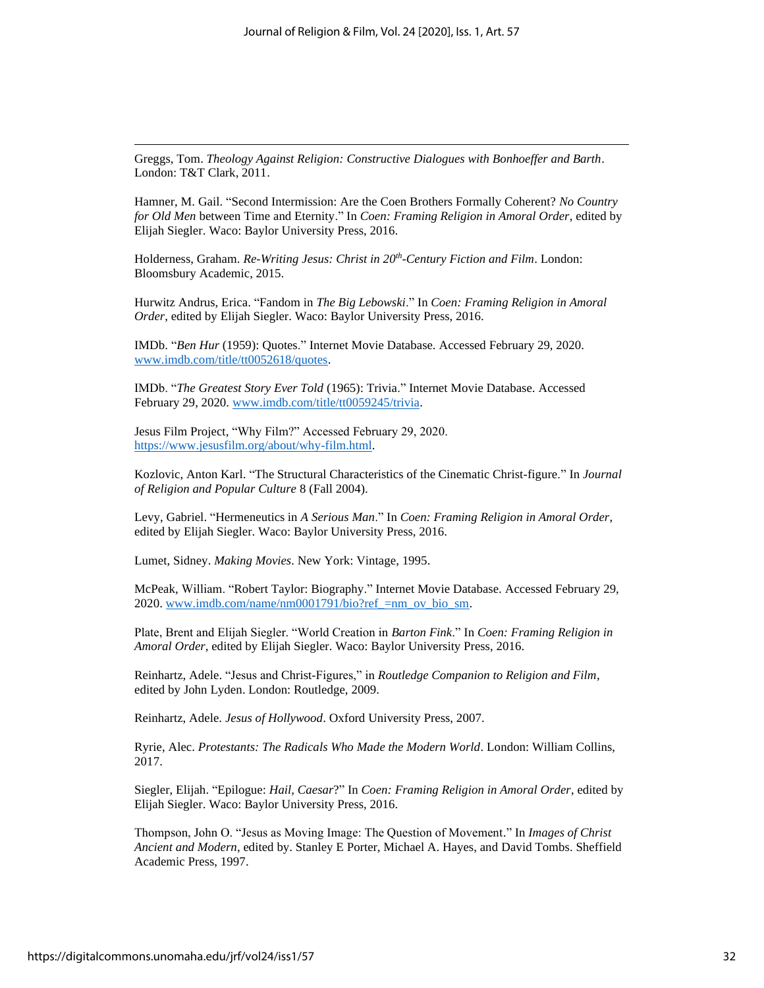Greggs, Tom. *Theology Against Religion: Constructive Dialogues with Bonhoeffer and Barth*. London: T&T Clark, 2011.

Hamner, M. Gail. "Second Intermission: Are the Coen Brothers Formally Coherent? *No Country for Old Men* between Time and Eternity." In *Coen: Framing Religion in Amoral Order*, edited by Elijah Siegler. Waco: Baylor University Press, 2016.

Holderness, Graham. *Re-Writing Jesus: Christ in 20th -Century Fiction and Film*. London: Bloomsbury Academic, 2015.

Hurwitz Andrus, Erica. "Fandom in *The Big Lebowski*." In *Coen: Framing Religion in Amoral Order*, edited by Elijah Siegler. Waco: Baylor University Press, 2016.

IMDb. "*Ben Hur* (1959): Quotes." Internet Movie Database. Accessed February 29, 2020. [www.imdb.com/title/tt0052618/quotes.](http://www.imdb.com/title/tt0052618/quotes)

IMDb. "*The Greatest Story Ever Told* (1965): Trivia." Internet Movie Database. Accessed February 29, 2020. [www.imdb.com/title/tt0059245/trivia.](http://www.imdb.com/title/tt0059245/trivia)

Jesus Film Project*,* "Why Film?" Accessed February 29, 2020. [https://www.jesusfilm.org/about/why-film.html.](https://www.jesusfilm.org/about/why-film.html)

Kozlovic, Anton Karl. "The Structural Characteristics of the Cinematic Christ-figure." In *Journal of Religion and Popular Culture* 8 (Fall 2004).

Levy, Gabriel. "Hermeneutics in *A Serious Man*." In *Coen: Framing Religion in Amoral Order*, edited by Elijah Siegler. Waco: Baylor University Press, 2016.

Lumet, Sidney. *Making Movies*. New York: Vintage, 1995.

McPeak, William. "Robert Taylor: Biography." Internet Movie Database. Accessed February 29, 2020. [www.imdb.com/name/nm0001791/bio?ref\\_=nm\\_ov\\_bio\\_sm.](http://www.imdb.com/name/nm0001791/bio?ref_=nm_ov_bio_sm)

Plate, Brent and Elijah Siegler. "World Creation in *Barton Fink*." In *Coen: Framing Religion in Amoral Order*, edited by Elijah Siegler. Waco: Baylor University Press, 2016.

Reinhartz, Adele. "Jesus and Christ-Figures," in *Routledge Companion to Religion and Film*, edited by John Lyden. London: Routledge, 2009.

Reinhartz, Adele. *Jesus of Hollywood*. Oxford University Press, 2007.

Ryrie, Alec. *Protestants: The Radicals Who Made the Modern World*. London: William Collins, 2017.

Siegler, Elijah. "Epilogue: *Hail, Caesar*?" In *Coen: Framing Religion in Amoral Order*, edited by Elijah Siegler. Waco: Baylor University Press, 2016.

Thompson, John O. "Jesus as Moving Image: The Question of Movement." In *Images of Christ Ancient and Modern*, edited by. Stanley E Porter, Michael A. Hayes, and David Tombs. Sheffield Academic Press, 1997.